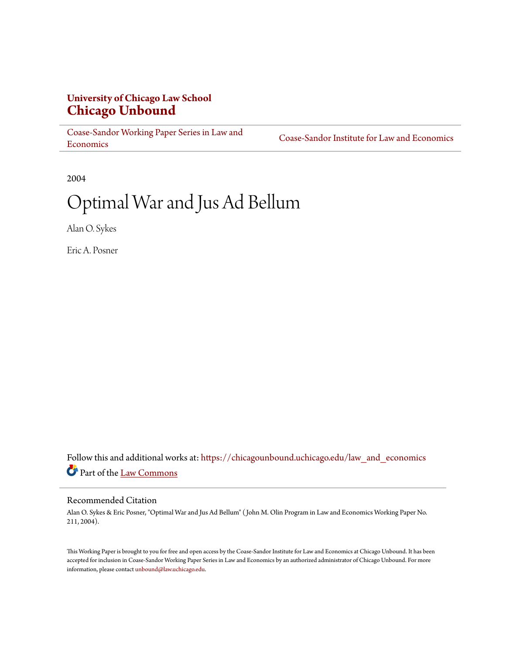# **University of Chicago Law School [Chicago Unbound](https://chicagounbound.uchicago.edu?utm_source=chicagounbound.uchicago.edu%2Flaw_and_economics%2F354&utm_medium=PDF&utm_campaign=PDFCoverPages)**

[Coase-Sandor Working Paper Series in Law and](https://chicagounbound.uchicago.edu/law_and_economics?utm_source=chicagounbound.uchicago.edu%2Flaw_and_economics%2F354&utm_medium=PDF&utm_campaign=PDFCoverPages) [Economics](https://chicagounbound.uchicago.edu/law_and_economics?utm_source=chicagounbound.uchicago.edu%2Flaw_and_economics%2F354&utm_medium=PDF&utm_campaign=PDFCoverPages)

[Coase-Sandor Institute for Law and Economics](https://chicagounbound.uchicago.edu/coase_sandor_institute?utm_source=chicagounbound.uchicago.edu%2Flaw_and_economics%2F354&utm_medium=PDF&utm_campaign=PDFCoverPages)

2004

# Optimal War and Jus Ad Bellum

Alan O. Sykes

Eric A. Posner

Follow this and additional works at: [https://chicagounbound.uchicago.edu/law\\_and\\_economics](https://chicagounbound.uchicago.edu/law_and_economics?utm_source=chicagounbound.uchicago.edu%2Flaw_and_economics%2F354&utm_medium=PDF&utm_campaign=PDFCoverPages) Part of the [Law Commons](http://network.bepress.com/hgg/discipline/578?utm_source=chicagounbound.uchicago.edu%2Flaw_and_economics%2F354&utm_medium=PDF&utm_campaign=PDFCoverPages)

#### Recommended Citation

Alan O. Sykes & Eric Posner, "Optimal War and Jus Ad Bellum" ( John M. Olin Program in Law and Economics Working Paper No. 211, 2004).

This Working Paper is brought to you for free and open access by the Coase-Sandor Institute for Law and Economics at Chicago Unbound. It has been accepted for inclusion in Coase-Sandor Working Paper Series in Law and Economics by an authorized administrator of Chicago Unbound. For more information, please contact [unbound@law.uchicago.edu.](mailto:unbound@law.uchicago.edu)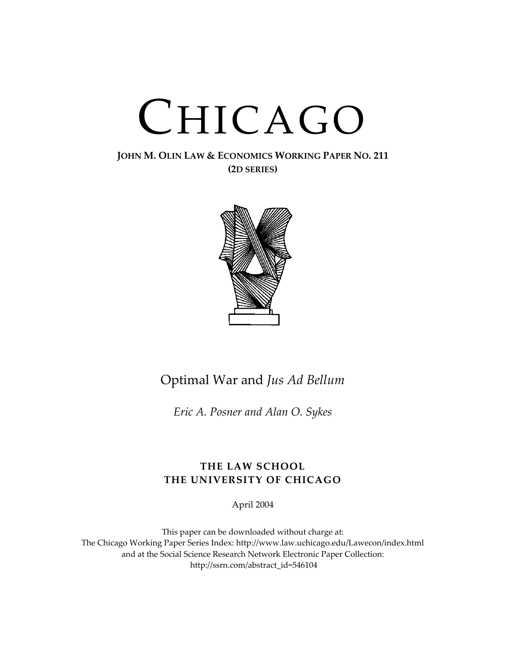# CHICAGO

### **JOHN M. OLIN LAW & ECONOMICS WORKING PAPER NO. 211 (2D SERIES)**



# Optimal War and *Jus Ad Bellum*

*Eric A. Posner and Alan O. Sykes*

# **THE LAW SCHOOL THE UNIVERSITY OF CHICAGO**

April 2004

This paper can be downloaded without charge at: The Chicago Working Paper Series Index: [http://www.law.uchicago.edu/Lawecon/index.html](http://www.law.uchicago.edu/Publications/Working/index.html) and at the Social Science Research Network Electronic Paper Collection: [http://ssrn.com/abstract\\_id=](http://papers.ssrn.com/sol3/search.taf)546104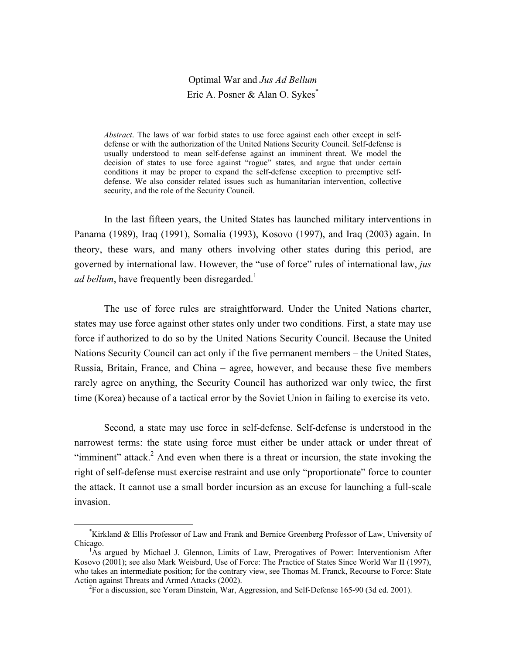# Optimal War and *Jus Ad Bellum* Eric A. Posner & Alan O. Sykes[\\*](#page-2-0)

*Abstract*. The laws of war forbid states to use force against each other except in selfdefense or with the authorization of the United Nations Security Council. Self-defense is usually understood to mean self-defense against an imminent threat. We model the decision of states to use force against "rogue" states, and argue that under certain conditions it may be proper to expand the self-defense exception to preemptive selfdefense. We also consider related issues such as humanitarian intervention, collective security, and the role of the Security Council.

 In the last fifteen years, the United States has launched military interventions in Panama (1989), Iraq (1991), Somalia (1993), Kosovo (1997), and Iraq (2003) again. In theory, these wars, and many others involving other states during this period, are governed by international law. However, the "use of force" rules of international law, *jus ad bellum*, have frequently been disregarded.<sup>[1](#page-2-1)</sup>

 The use of force rules are straightforward. Under the United Nations charter, states may use force against other states only under two conditions. First, a state may use force if authorized to do so by the United Nations Security Council. Because the United Nations Security Council can act only if the five permanent members – the United States, Russia, Britain, France, and China – agree, however, and because these five members rarely agree on anything, the Security Council has authorized war only twice, the first time (Korea) because of a tactical error by the Soviet Union in failing to exercise its veto.

Second, a state may use force in self-defense. Self-defense is understood in the narrowest terms: the state using force must either be under attack or under threat of "imminent" attack.<sup>2</sup> And even when there is a threat or incursion, the state invoking the right of self-defense must exercise restraint and use only "proportionate" force to counter the attack. It cannot use a small border incursion as an excuse for launching a full-scale invasion.

<span id="page-2-0"></span> <sup>\*</sup> Kirkland & Ellis Professor of Law and Frank and Bernice Greenberg Professor of Law, University of Chicago.

<span id="page-2-1"></span><sup>&</sup>lt;sup>1</sup>As argued by Michael J. Glennon, Limits of Law, Prerogatives of Power: Interventionism After Kosovo (2001); see also Mark Weisburd, Use of Force: The Practice of States Since World War II (1997), who takes an intermediate position; for the contrary view, see Thomas M. Franck, Recourse to Force: State Action against Threats and Armed Attacks (2002).

<span id="page-2-2"></span> ${}^{2}$ For a discussion, see Yoram Dinstein, War, Aggression, and Self-Defense 165-90 (3d ed. 2001).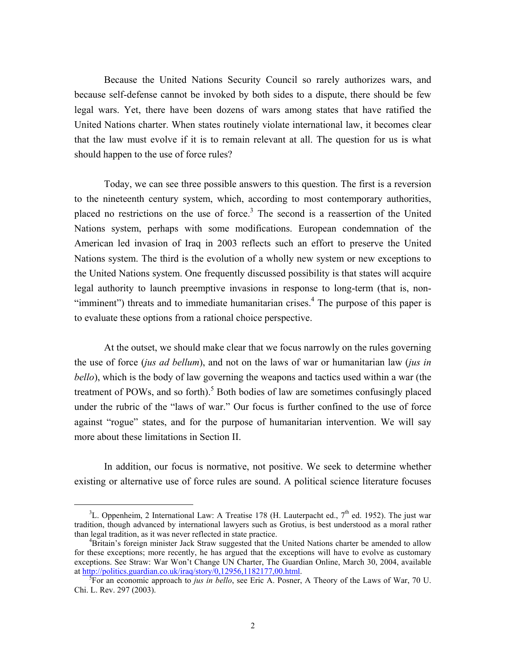Because the United Nations Security Council so rarely authorizes wars, and because self-defense cannot be invoked by both sides to a dispute, there should be few legal wars. Yet, there have been dozens of wars among states that have ratified the United Nations charter. When states routinely violate international law, it becomes clear that the law must evolve if it is to remain relevant at all. The question for us is what should happen to the use of force rules?

Today, we can see three possible answers to this question. The first is a reversion to the nineteenth century system, which, according to most contemporary authorities, placed no restrictions on the use of force.<sup>[3](#page-3-0)</sup> The second is a reassertion of the United Nations system, perhaps with some modifications. European condemnation of the American led invasion of Iraq in 2003 reflects such an effort to preserve the United Nations system. The third is the evolution of a wholly new system or new exceptions to the United Nations system. One frequently discussed possibility is that states will acquire legal authority to launch preemptive invasions in response to long-term (that is, non- "imminent") threats and to immediate humanitarian crises.<sup>[4](#page-3-1)</sup> The purpose of this paper is to evaluate these options from a rational choice perspective.

At the outset, we should make clear that we focus narrowly on the rules governing the use of force (*jus ad bellum*), and not on the laws of war or humanitarian law (*jus in bello*), which is the body of law governing the weapons and tactics used within a war (the treatment of POWs, and so forth). $<sup>5</sup>$  Both bodies of law are sometimes confusingly placed</sup> under the rubric of the "laws of war." Our focus is further confined to the use of force against "rogue" states, and for the purpose of humanitarian intervention. We will say more about these limitations in Section II.

In addition, our focus is normative, not positive. We seek to determine whether existing or alternative use of force rules are sound. A political science literature focuses

<span id="page-3-0"></span> $\frac{1}{3}$ <sup>3</sup>L. Oppenheim, 2 International Law: A Treatise 178 (H. Lauterpacht ed.,  $7<sup>th</sup>$  ed. 1952). The just war tradition, though advanced by international lawyers such as Grotius, is best understood as a moral rather than legal tradition, as it was never reflected in state practice. 4

<span id="page-3-1"></span><sup>&</sup>lt;sup>4</sup>Britain's foreign minister Jack Straw suggested that the United Nations charter be amended to allow for these exceptions; more recently, he has argued that the exceptions will have to evolve as customary exceptions. See Straw: War Won't Change UN Charter, The Guardian Online, March 30, 2004, available at http://politics.guardian.co.uk/iraq/story/0,12956,1182177,00.html.

<span id="page-3-2"></span>For an economic approach to *jus in bello*, see Eric A. Posner, A Theory of the Laws of War, 70 U. Chi. L. Rev. 297 (2003).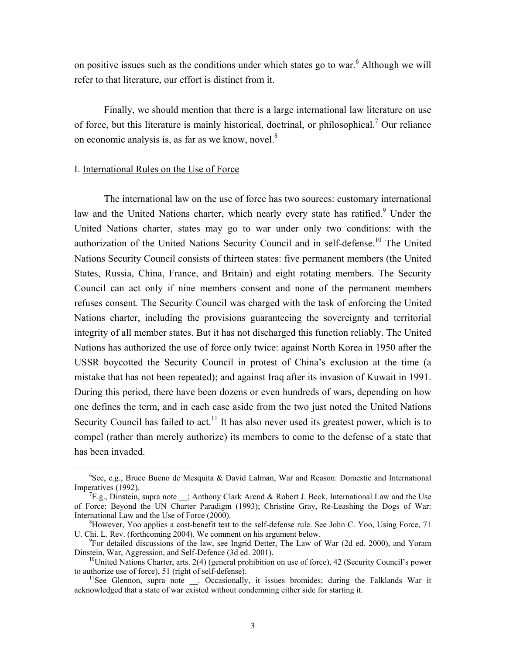on positive issues such as the conditions under which states go to war.<sup>[6](#page-4-0)</sup> Although we will refer to that literature, our effort is distinct from it.

Finally, we should mention that there is a large international law literature on use of force, but this literature is mainly historical, doctrinal, or philosophical.<sup>[7](#page-4-1)</sup> Our reliance on economic analysis is, as far as we know, novel.<sup>[8](#page-4-2)</sup>

#### I. International Rules on the Use of Force

The international law on the use of force has two sources: customary international law and the United Nations charter, which nearly every state has ratified.<sup>[9](#page-4-3)</sup> Under the United Nations charter, states may go to war under only two conditions: with the authorization of the United Nations Security Council and in self-defense.<sup>10</sup> The United Nations Security Council consists of thirteen states: five permanent members (the United States, Russia, China, France, and Britain) and eight rotating members. The Security Council can act only if nine members consent and none of the permanent members refuses consent. The Security Council was charged with the task of enforcing the United Nations charter, including the provisions guaranteeing the sovereignty and territorial integrity of all member states. But it has not discharged this function reliably. The United Nations has authorized the use of force only twice: against North Korea in 1950 after the USSR boycotted the Security Council in protest of China's exclusion at the time (a mistake that has not been repeated); and against Iraq after its invasion of Kuwait in 1991. During this period, there have been dozens or even hundreds of wars, depending on how one defines the term, and in each case aside from the two just noted the United Nations Security Council has failed to act.<sup>11</sup> It has also never used its greatest power, which is to compel (rather than merely authorize) its members to come to the defense of a state that has been invaded.

<span id="page-4-0"></span> <sup>6</sup>  ${}^{6}$ See, e.g., Bruce Bueno de Mesquita & David Lalman, War and Reason: Domestic and International Imperatives (1992).

<span id="page-4-1"></span>E.g., Dinstein, supra note ; Anthony Clark Arend & Robert J. Beck, International Law and the Use of Force: Beyond the UN Charter Paradigm (1993); Christine Gray, Re-Leashing the Dogs of War: International Law and the Use of Force (2000).

<span id="page-4-2"></span> $H<sup>8</sup>$ However, Yoo applies a cost-benefit test to the self-defense rule. See John C. Yoo, Using Force, 71 U. Chi. L. Rev. (forthcoming 2004). We comment on his argument below.

<span id="page-4-3"></span> $^{9}$ For detailed discussions of the law, see Ingrid Detter, The Law of War (2d ed. 2000), and Yoram Dinstein, War, Aggression, and Self-Defence (3d ed. 2001).<br><sup>10</sup>United Nations Charter, arts. 2(4) (general prohibition on use of force), 42 (Security Council's power

<span id="page-4-4"></span>to authorize use of force), 51 (right of self-defense).<br><sup>11</sup>See Glennon, supra note \_\_. Occasionally, it issues bromides; during the Falklands War it

<span id="page-4-5"></span>acknowledged that a state of war existed without condemning either side for starting it.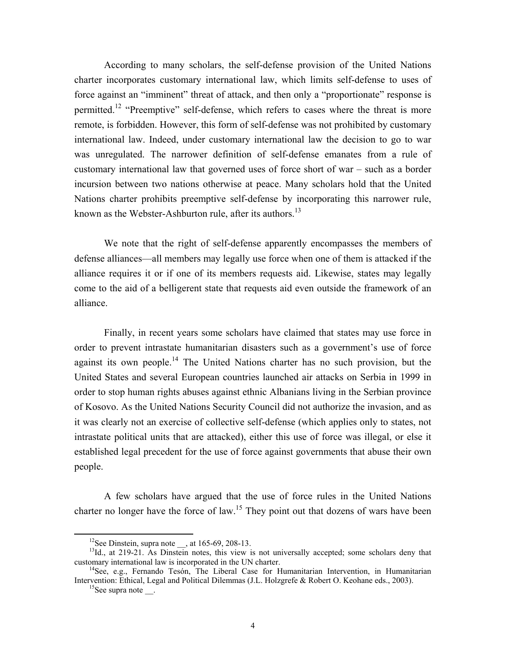According to many scholars, the self-defense provision of the United Nations charter incorporates customary international law, which limits self-defense to uses of force against an "imminent" threat of attack, and then only a "proportionate" response is permitted.<sup>12</sup> "Preemptive" self-defense, which refers to cases where the threat is more remote, is forbidden. However, this form of self-defense was not prohibited by customary international law. Indeed, under customary international law the decision to go to war was unregulated. The narrower definition of self-defense emanates from a rule of customary international law that governed uses of force short of war – such as a border incursion between two nations otherwise at peace. Many scholars hold that the United Nations charter prohibits preemptive self-defense by incorporating this narrower rule, known as the Webster-Ashburton rule, after its authors.<sup>[13](#page-5-1)</sup>

We note that the right of self-defense apparently encompasses the members of defense alliances—all members may legally use force when one of them is attacked if the alliance requires it or if one of its members requests aid. Likewise, states may legally come to the aid of a belligerent state that requests aid even outside the framework of an alliance.

Finally, in recent years some scholars have claimed that states may use force in order to prevent intrastate humanitarian disasters such as a government's use of force against its own people.<sup>14</sup> The United Nations charter has no such provision, but the United States and several European countries launched air attacks on Serbia in 1999 in order to stop human rights abuses against ethnic Albanians living in the Serbian province of Kosovo. As the United Nations Security Council did not authorize the invasion, and as it was clearly not an exercise of collective self-defense (which applies only to states, not intrastate political units that are attacked), either this use of force was illegal, or else it established legal precedent for the use of force against governments that abuse their own people.

A few scholars have argued that the use of force rules in the United Nations charter no longer have the force of law.<sup>15</sup> They point out that dozens of wars have been

<span id="page-5-1"></span><span id="page-5-0"></span>

<sup>&</sup>lt;sup>12</sup>See Dinstein, supra note \_\_, at 165-69, 208-13.<br><sup>13</sup>Id., at 219-21. As Dinstein notes, this view is not universally accepted; some scholars deny that customary international law is incorporated in the UN charter.<br><sup>14</sup>See, e.g., Fernando Tesón, The Liberal Case for Humanitarian Intervention, in Humanitarian

<span id="page-5-2"></span>Intervention: Ethical, Legal and Political Dilemmas (J.L. Holzgrefe & Robert O. Keohane eds., 2003). <sup>15</sup>See supra note

<span id="page-5-3"></span>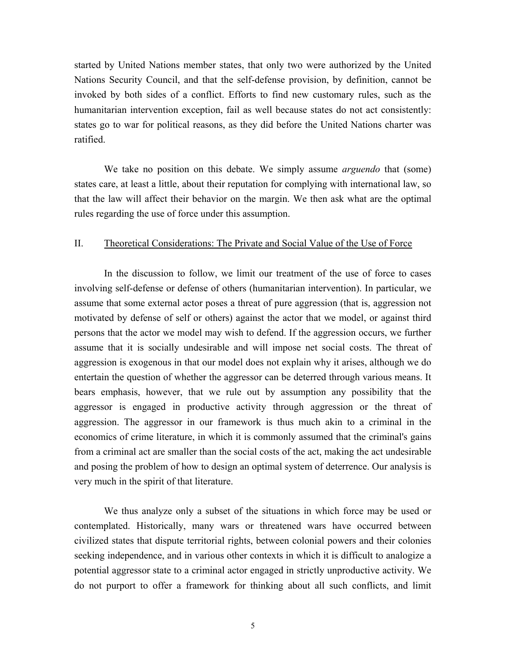started by United Nations member states, that only two were authorized by the United Nations Security Council, and that the self-defense provision, by definition, cannot be invoked by both sides of a conflict. Efforts to find new customary rules, such as the humanitarian intervention exception, fail as well because states do not act consistently: states go to war for political reasons, as they did before the United Nations charter was ratified.

We take no position on this debate. We simply assume *arguendo* that (some) states care, at least a little, about their reputation for complying with international law, so that the law will affect their behavior on the margin. We then ask what are the optimal rules regarding the use of force under this assumption.

#### II. Theoretical Considerations: The Private and Social Value of the Use of Force

In the discussion to follow, we limit our treatment of the use of force to cases involving self-defense or defense of others (humanitarian intervention). In particular, we assume that some external actor poses a threat of pure aggression (that is, aggression not motivated by defense of self or others) against the actor that we model, or against third persons that the actor we model may wish to defend. If the aggression occurs, we further assume that it is socially undesirable and will impose net social costs. The threat of aggression is exogenous in that our model does not explain why it arises, although we do entertain the question of whether the aggressor can be deterred through various means. It bears emphasis, however, that we rule out by assumption any possibility that the aggressor is engaged in productive activity through aggression or the threat of aggression. The aggressor in our framework is thus much akin to a criminal in the economics of crime literature, in which it is commonly assumed that the criminal's gains from a criminal act are smaller than the social costs of the act, making the act undesirable and posing the problem of how to design an optimal system of deterrence. Our analysis is very much in the spirit of that literature.

We thus analyze only a subset of the situations in which force may be used or contemplated. Historically, many wars or threatened wars have occurred between civilized states that dispute territorial rights, between colonial powers and their colonies seeking independence, and in various other contexts in which it is difficult to analogize a potential aggressor state to a criminal actor engaged in strictly unproductive activity. We do not purport to offer a framework for thinking about all such conflicts, and limit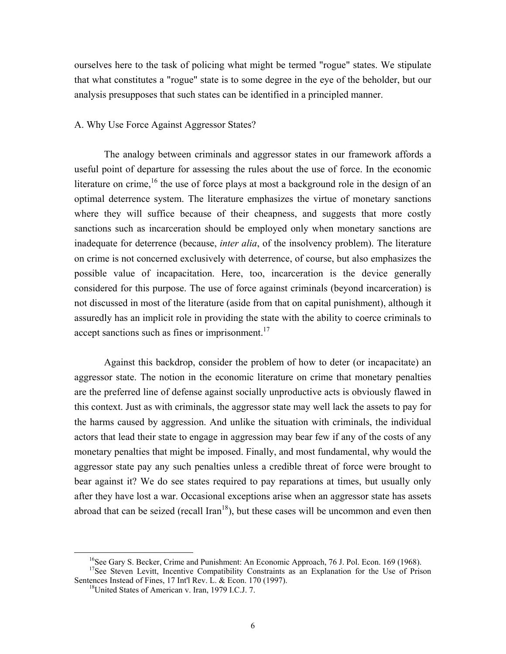ourselves here to the task of policing what might be termed "rogue" states. We stipulate that what constitutes a "rogue" state is to some degree in the eye of the beholder, but our analysis presupposes that such states can be identified in a principled manner.

#### A. Why Use Force Against Aggressor States?

The analogy between criminals and aggressor states in our framework affords a useful point of departure for assessing the rules about the use of force. In the economic literature on crime,  $^{16}$  the use of force plays at most a background role in the design of an optimal deterrence system. The literature emphasizes the virtue of monetary sanctions where they will suffice because of their cheapness, and suggests that more costly sanctions such as incarceration should be employed only when monetary sanctions are inadequate for deterrence (because, *inter alia*, of the insolvency problem). The literature on crime is not concerned exclusively with deterrence, of course, but also emphasizes the possible value of incapacitation. Here, too, incarceration is the device generally considered for this purpose. The use of force against criminals (beyond incarceration) is not discussed in most of the literature (aside from that on capital punishment), although it assuredly has an implicit role in providing the state with the ability to coerce criminals to accept sanctions such as fines or imprisonment.<sup>[17](#page-7-1)</sup>

Against this backdrop, consider the problem of how to deter (or incapacitate) an aggressor state. The notion in the economic literature on crime that monetary penalties are the preferred line of defense against socially unproductive acts is obviously flawed in this context. Just as with criminals, the aggressor state may well lack the assets to pay for the harms caused by aggression. And unlike the situation with criminals, the individual actors that lead their state to engage in aggression may bear few if any of the costs of any monetary penalties that might be imposed. Finally, and most fundamental, why would the aggressor state pay any such penalties unless a credible threat of force were brought to bear against it? We do see states required to pay reparations at times, but usually only after they have lost a war. Occasional exceptions arise when an aggressor state has assets abroad that can be seized (recall Iran<sup>18</sup>), but these cases will be uncommon and even then

<span id="page-7-1"></span><span id="page-7-0"></span><sup>&</sup>lt;sup>16</sup>See Gary S. Becker, Crime and Punishment: An Economic Approach, 76 J. Pol. Econ. 169 (1968). <sup>17</sup>See Steven Levitt, Incentive Compatibility Constraints as an Explanation for the Use of Prison

Sentences Instead of Fines, 17 Int'l Rev. L. & Econ. 170 (1997).<br><sup>18</sup>United States of American v. Iran, 1979 I.C.J. 7.

<span id="page-7-2"></span>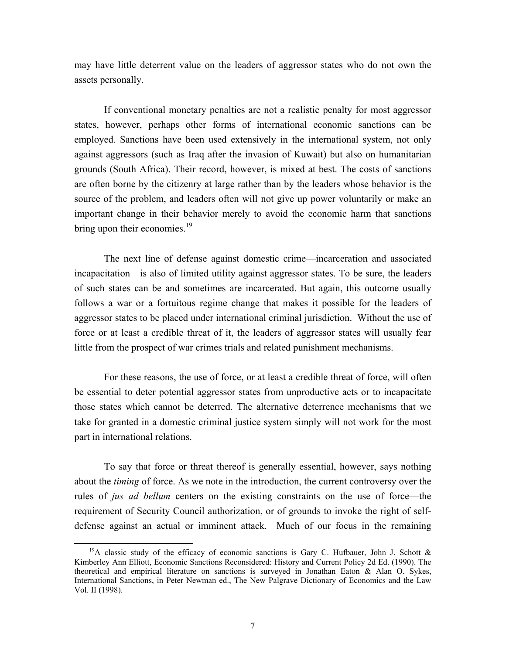may have little deterrent value on the leaders of aggressor states who do not own the assets personally.

If conventional monetary penalties are not a realistic penalty for most aggressor states, however, perhaps other forms of international economic sanctions can be employed. Sanctions have been used extensively in the international system, not only against aggressors (such as Iraq after the invasion of Kuwait) but also on humanitarian grounds (South Africa). Their record, however, is mixed at best. The costs of sanctions are often borne by the citizenry at large rather than by the leaders whose behavior is the source of the problem, and leaders often will not give up power voluntarily or make an important change in their behavior merely to avoid the economic harm that sanctions bring upon their economies.<sup>19</sup>

The next line of defense against domestic crime—incarceration and associated incapacitation—is also of limited utility against aggressor states. To be sure, the leaders of such states can be and sometimes are incarcerated. But again, this outcome usually follows a war or a fortuitous regime change that makes it possible for the leaders of aggressor states to be placed under international criminal jurisdiction. Without the use of force or at least a credible threat of it, the leaders of aggressor states will usually fear little from the prospect of war crimes trials and related punishment mechanisms.

For these reasons, the use of force, or at least a credible threat of force, will often be essential to deter potential aggressor states from unproductive acts or to incapacitate those states which cannot be deterred. The alternative deterrence mechanisms that we take for granted in a domestic criminal justice system simply will not work for the most part in international relations.

To say that force or threat thereof is generally essential, however, says nothing about the *timing* of force. As we note in the introduction, the current controversy over the rules of *jus ad bellum* centers on the existing constraints on the use of force—the requirement of Security Council authorization, or of grounds to invoke the right of selfdefense against an actual or imminent attack. Much of our focus in the remaining

<span id="page-8-0"></span><sup>&</sup>lt;sup>19</sup>A classic study of the efficacy of economic sanctions is Gary C. Hufbauer, John J. Schott & Kimberley Ann Elliott, Economic Sanctions Reconsidered: History and Current Policy 2d Ed. (1990). The theoretical and empirical literature on sanctions is surveyed in Jonathan Eaton & Alan O. Sykes, International Sanctions, in Peter Newman ed., The New Palgrave Dictionary of Economics and the Law Vol. II (1998).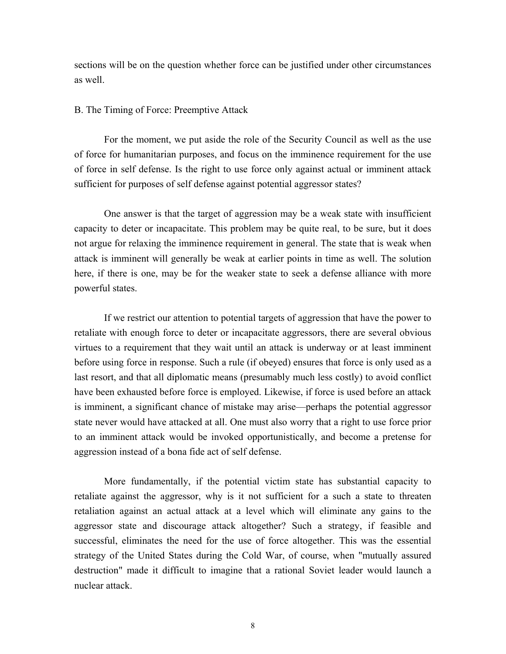sections will be on the question whether force can be justified under other circumstances as well.

#### B. The Timing of Force: Preemptive Attack

For the moment, we put aside the role of the Security Council as well as the use of force for humanitarian purposes, and focus on the imminence requirement for the use of force in self defense. Is the right to use force only against actual or imminent attack sufficient for purposes of self defense against potential aggressor states?

One answer is that the target of aggression may be a weak state with insufficient capacity to deter or incapacitate. This problem may be quite real, to be sure, but it does not argue for relaxing the imminence requirement in general. The state that is weak when attack is imminent will generally be weak at earlier points in time as well. The solution here, if there is one, may be for the weaker state to seek a defense alliance with more powerful states.

If we restrict our attention to potential targets of aggression that have the power to retaliate with enough force to deter or incapacitate aggressors, there are several obvious virtues to a requirement that they wait until an attack is underway or at least imminent before using force in response. Such a rule (if obeyed) ensures that force is only used as a last resort, and that all diplomatic means (presumably much less costly) to avoid conflict have been exhausted before force is employed. Likewise, if force is used before an attack is imminent, a significant chance of mistake may arise—perhaps the potential aggressor state never would have attacked at all. One must also worry that a right to use force prior to an imminent attack would be invoked opportunistically, and become a pretense for aggression instead of a bona fide act of self defense.

More fundamentally, if the potential victim state has substantial capacity to retaliate against the aggressor, why is it not sufficient for a such a state to threaten retaliation against an actual attack at a level which will eliminate any gains to the aggressor state and discourage attack altogether? Such a strategy, if feasible and successful, eliminates the need for the use of force altogether. This was the essential strategy of the United States during the Cold War, of course, when "mutually assured destruction" made it difficult to imagine that a rational Soviet leader would launch a nuclear attack.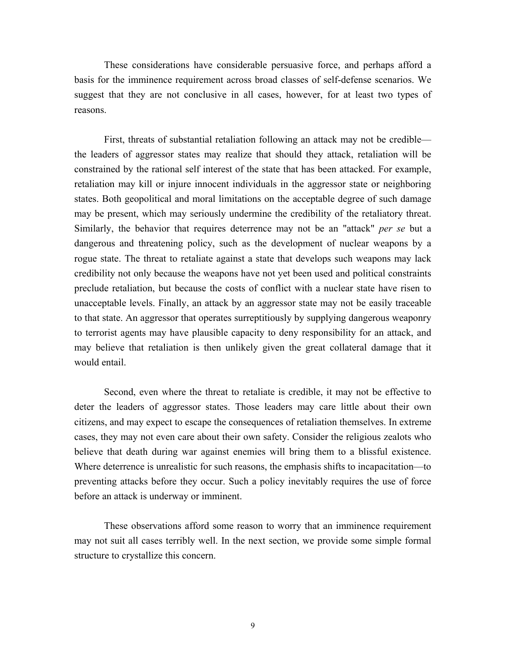These considerations have considerable persuasive force, and perhaps afford a basis for the imminence requirement across broad classes of self-defense scenarios. We suggest that they are not conclusive in all cases, however, for at least two types of reasons.

First, threats of substantial retaliation following an attack may not be credible the leaders of aggressor states may realize that should they attack, retaliation will be constrained by the rational self interest of the state that has been attacked. For example, retaliation may kill or injure innocent individuals in the aggressor state or neighboring states. Both geopolitical and moral limitations on the acceptable degree of such damage may be present, which may seriously undermine the credibility of the retaliatory threat. Similarly, the behavior that requires deterrence may not be an "attack" *per se* but a dangerous and threatening policy, such as the development of nuclear weapons by a rogue state. The threat to retaliate against a state that develops such weapons may lack credibility not only because the weapons have not yet been used and political constraints preclude retaliation, but because the costs of conflict with a nuclear state have risen to unacceptable levels. Finally, an attack by an aggressor state may not be easily traceable to that state. An aggressor that operates surreptitiously by supplying dangerous weaponry to terrorist agents may have plausible capacity to deny responsibility for an attack, and may believe that retaliation is then unlikely given the great collateral damage that it would entail.

Second, even where the threat to retaliate is credible, it may not be effective to deter the leaders of aggressor states. Those leaders may care little about their own citizens, and may expect to escape the consequences of retaliation themselves. In extreme cases, they may not even care about their own safety. Consider the religious zealots who believe that death during war against enemies will bring them to a blissful existence. Where deterrence is unrealistic for such reasons, the emphasis shifts to incapacitation—to preventing attacks before they occur. Such a policy inevitably requires the use of force before an attack is underway or imminent.

These observations afford some reason to worry that an imminence requirement may not suit all cases terribly well. In the next section, we provide some simple formal structure to crystallize this concern.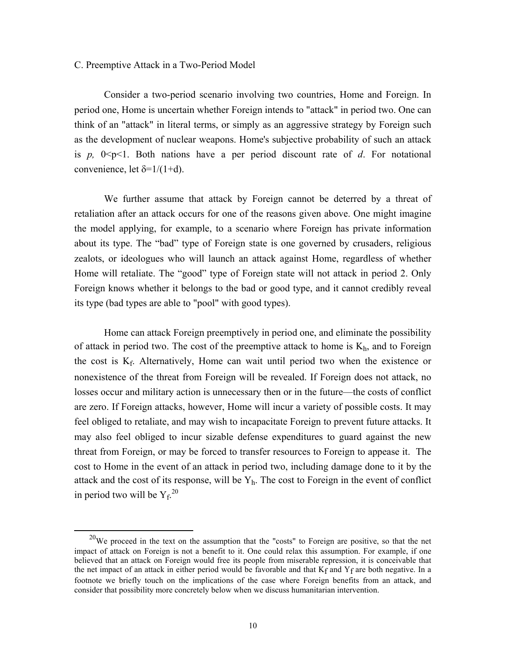#### C. Preemptive Attack in a Two-Period Model

Consider a two-period scenario involving two countries, Home and Foreign. In period one, Home is uncertain whether Foreign intends to "attack" in period two. One can think of an "attack" in literal terms, or simply as an aggressive strategy by Foreign such as the development of nuclear weapons. Home's subjective probability of such an attack is  $p$ ,  $0 \le p \le 1$ . Both nations have a per period discount rate of *d*. For notational convenience, let  $\delta=1/(1+d)$ .

We further assume that attack by Foreign cannot be deterred by a threat of retaliation after an attack occurs for one of the reasons given above. One might imagine the model applying, for example, to a scenario where Foreign has private information about its type. The "bad" type of Foreign state is one governed by crusaders, religious zealots, or ideologues who will launch an attack against Home, regardless of whether Home will retaliate. The "good" type of Foreign state will not attack in period 2. Only Foreign knows whether it belongs to the bad or good type, and it cannot credibly reveal its type (bad types are able to "pool" with good types).

Home can attack Foreign preemptively in period one, and eliminate the possibility of attack in period two. The cost of the preemptive attack to home is  $K_h$ , and to Foreign the cost is  $K_f$ . Alternatively, Home can wait until period two when the existence or nonexistence of the threat from Foreign will be revealed. If Foreign does not attack, no losses occur and military action is unnecessary then or in the future—the costs of conflict are zero. If Foreign attacks, however, Home will incur a variety of possible costs. It may feel obliged to retaliate, and may wish to incapacitate Foreign to prevent future attacks. It may also feel obliged to incur sizable defense expenditures to guard against the new threat from Foreign, or may be forced to transfer resources to Foreign to appease it. The cost to Home in the event of an attack in period two, including damage done to it by the attack and the cost of its response, will be  $Y<sub>h</sub>$ . The cost to Foreign in the event of conflict in period two will be  $Y_f^{20}$ 

<span id="page-11-0"></span> $20$ We proceed in the text on the assumption that the "costs" to Foreign are positive, so that the net impact of attack on Foreign is not a benefit to it. One could relax this assumption. For example, if one believed that an attack on Foreign would free its people from miserable repression, it is conceivable that the net impact of an attack in either period would be favorable and that Kf and Yf are both negative. In a footnote we briefly touch on the implications of the case where Foreign benefits from an attack, and consider that possibility more concretely below when we discuss humanitarian intervention.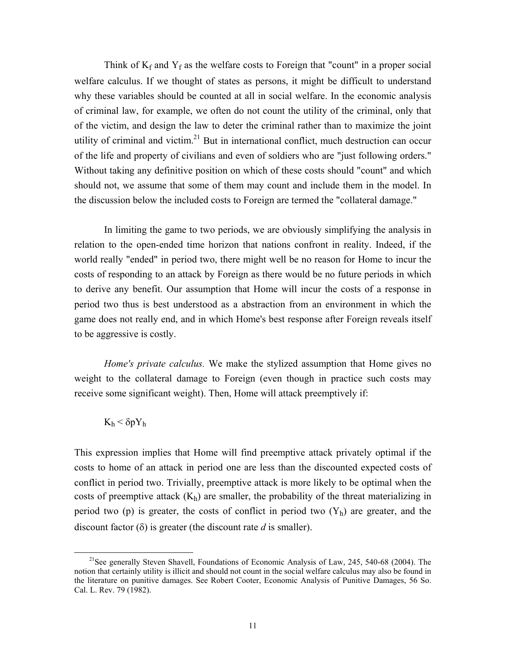Think of  $K_f$  and  $Y_f$  as the welfare costs to Foreign that "count" in a proper social welfare calculus. If we thought of states as persons, it might be difficult to understand why these variables should be counted at all in social welfare. In the economic analysis of criminal law, for example, we often do not count the utility of the criminal, only that of the victim, and design the law to deter the criminal rather than to maximize the joint utility of criminal and victim. $2<sup>1</sup>$  But in international conflict, much destruction can occur of the life and property of civilians and even of soldiers who are "just following orders." Without taking any definitive position on which of these costs should "count" and which should not, we assume that some of them may count and include them in the model. In the discussion below the included costs to Foreign are termed the "collateral damage."

In limiting the game to two periods, we are obviously simplifying the analysis in relation to the open-ended time horizon that nations confront in reality. Indeed, if the world really "ended" in period two, there might well be no reason for Home to incur the costs of responding to an attack by Foreign as there would be no future periods in which to derive any benefit. Our assumption that Home will incur the costs of a response in period two thus is best understood as a abstraction from an environment in which the game does not really end, and in which Home's best response after Foreign reveals itself to be aggressive is costly.

*Home's private calculus.* We make the stylized assumption that Home gives no weight to the collateral damage to Foreign (even though in practice such costs may receive some significant weight). Then, Home will attack preemptively if:

$$
K_h \leq \delta p Y_h
$$

This expression implies that Home will find preemptive attack privately optimal if the costs to home of an attack in period one are less than the discounted expected costs of conflict in period two. Trivially, preemptive attack is more likely to be optimal when the costs of preemptive attack  $(K_h)$  are smaller, the probability of the threat materializing in period two (p) is greater, the costs of conflict in period two  $(Y_h)$  are greater, and the discount factor (δ) is greater (the discount rate *d* is smaller).

<span id="page-12-0"></span><sup>&</sup>lt;sup>21</sup>See generally Steven Shavell, Foundations of Economic Analysis of Law,  $245$ ,  $540-68$  (2004). The notion that certainly utility is illicit and should not count in the social welfare calculus may also be found in the literature on punitive damages. See Robert Cooter, Economic Analysis of Punitive Damages, 56 So. Cal. L. Rev. 79 (1982).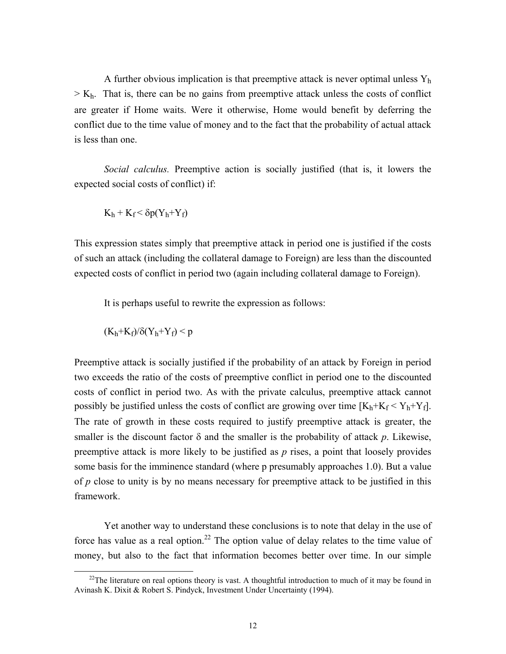A further obvious implication is that preemptive attack is never optimal unless  $Y<sub>h</sub>$  $> K_h$ . That is, there can be no gains from preemptive attack unless the costs of conflict are greater if Home waits. Were it otherwise, Home would benefit by deferring the conflict due to the time value of money and to the fact that the probability of actual attack is less than one.

*Social calculus.* Preemptive action is socially justified (that is, it lowers the expected social costs of conflict) if:

$$
K_h + K_f < \delta p(Y_h + Y_f)
$$

This expression states simply that preemptive attack in period one is justified if the costs of such an attack (including the collateral damage to Foreign) are less than the discounted expected costs of conflict in period two (again including collateral damage to Foreign).

It is perhaps useful to rewrite the expression as follows:

$$
(K_h+K_f)/\delta(Y_h+Y_f)\leq p
$$

Preemptive attack is socially justified if the probability of an attack by Foreign in period two exceeds the ratio of the costs of preemptive conflict in period one to the discounted costs of conflict in period two. As with the private calculus, preemptive attack cannot possibly be justified unless the costs of conflict are growing over time  $[K_h+K_f < Y_h+Y_f]$ . The rate of growth in these costs required to justify preemptive attack is greater, the smaller is the discount factor δ and the smaller is the probability of attack *p*. Likewise, preemptive attack is more likely to be justified as *p* rises, a point that loosely provides some basis for the imminence standard (where p presumably approaches 1.0). But a value of *p* close to unity is by no means necessary for preemptive attack to be justified in this framework.

Yet another way to understand these conclusions is to note that delay in the use of force has value as a real option.<sup>22</sup> The option value of delay relates to the time value of money, but also to the fact that information becomes better over time. In our simple

<span id="page-13-0"></span> $22$ The literature on real options theory is vast. A thoughtful introduction to much of it may be found in Avinash K. Dixit & Robert S. Pindyck, Investment Under Uncertainty (1994).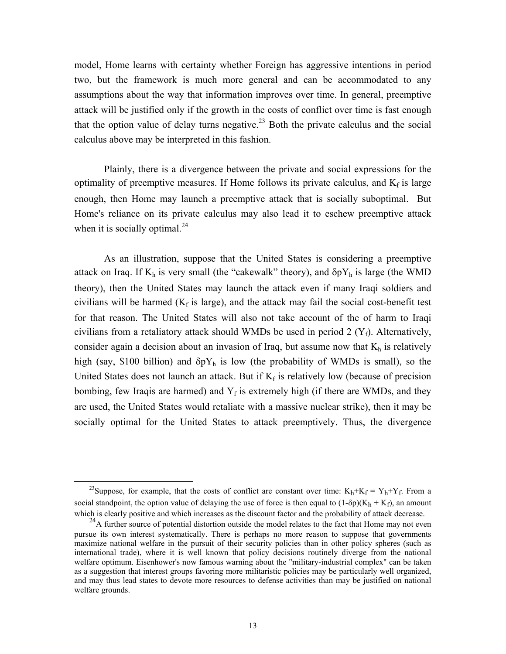model, Home learns with certainty whether Foreign has aggressive intentions in period two, but the framework is much more general and can be accommodated to any assumptions about the way that information improves over time. In general, preemptive attack will be justified only if the growth in the costs of conflict over time is fast enough that the option value of delay turns negative.<sup>23</sup> Both the private calculus and the social calculus above may be interpreted in this fashion.

Plainly, there is a divergence between the private and social expressions for the optimality of preemptive measures. If Home follows its private calculus, and  $K_f$  is large enough, then Home may launch a preemptive attack that is socially suboptimal. But Home's reliance on its private calculus may also lead it to eschew preemptive attack when it is socially optimal. $^{24}$ 

As an illustration, suppose that the United States is considering a preemptive attack on Iraq. If  $K_h$  is very small (the "cakewalk" theory), and  $\delta pY_h$  is large (the WMD theory), then the United States may launch the attack even if many Iraqi soldiers and civilians will be harmed  $(K_f$  is large), and the attack may fail the social cost-benefit test for that reason. The United States will also not take account of the of harm to Iraqi civilians from a retaliatory attack should WMDs be used in period  $2(Y_f)$ . Alternatively, consider again a decision about an invasion of Iraq, but assume now that  $K_h$  is relatively high (say, \$100 billion) and  $\delta pY_h$  is low (the probability of WMDs is small), so the United States does not launch an attack. But if  $K_f$  is relatively low (because of precision bombing, few Iraqis are harmed) and  $Y_f$  is extremely high (if there are WMDs, and they are used, the United States would retaliate with a massive nuclear strike), then it may be socially optimal for the United States to attack preemptively. Thus, the divergence

<span id="page-14-0"></span><sup>&</sup>lt;sup>23</sup>Suppose, for example, that the costs of conflict are constant over time:  $K_h + K_f = Y_h + Y_f$ . From a social standpoint, the option value of delaying the use of force is then equal to  $(1-\delta p)(K_h + K_f)$ , an amount which is clearly positive and which increases as the discount factor and the probability of attack decrease.

<span id="page-14-1"></span> $^{24}$ A further source of potential distortion outside the model relates to the fact that Home may not even pursue its own interest systematically. There is perhaps no more reason to suppose that governments maximize national welfare in the pursuit of their security policies than in other policy spheres (such as international trade), where it is well known that policy decisions routinely diverge from the national welfare optimum. Eisenhower's now famous warning about the "military-industrial complex" can be taken as a suggestion that interest groups favoring more militaristic policies may be particularly well organized, and may thus lead states to devote more resources to defense activities than may be justified on national welfare grounds.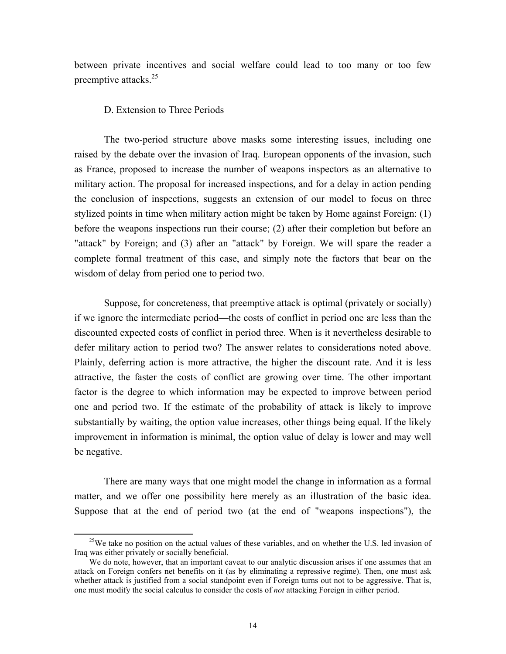between private incentives and social welfare could lead to too many or too few preemptive attacks.<sup>25</sup>

#### D. Extension to Three Periods

The two-period structure above masks some interesting issues, including one raised by the debate over the invasion of Iraq. European opponents of the invasion, such as France, proposed to increase the number of weapons inspectors as an alternative to military action. The proposal for increased inspections, and for a delay in action pending the conclusion of inspections, suggests an extension of our model to focus on three stylized points in time when military action might be taken by Home against Foreign: (1) before the weapons inspections run their course; (2) after their completion but before an "attack" by Foreign; and (3) after an "attack" by Foreign. We will spare the reader a complete formal treatment of this case, and simply note the factors that bear on the wisdom of delay from period one to period two.

Suppose, for concreteness, that preemptive attack is optimal (privately or socially) if we ignore the intermediate period—the costs of conflict in period one are less than the discounted expected costs of conflict in period three. When is it nevertheless desirable to defer military action to period two? The answer relates to considerations noted above. Plainly, deferring action is more attractive, the higher the discount rate. And it is less attractive, the faster the costs of conflict are growing over time. The other important factor is the degree to which information may be expected to improve between period one and period two. If the estimate of the probability of attack is likely to improve substantially by waiting, the option value increases, other things being equal. If the likely improvement in information is minimal, the option value of delay is lower and may well be negative.

There are many ways that one might model the change in information as a formal matter, and we offer one possibility here merely as an illustration of the basic idea. Suppose that at the end of period two (at the end of "weapons inspections"), the

<span id="page-15-0"></span><sup>&</sup>lt;sup>25</sup>We take no position on the actual values of these variables, and on whether the U.S. led invasion of Iraq was either privately or socially beneficial.

We do note, however, that an important caveat to our analytic discussion arises if one assumes that an attack on Foreign confers net benefits on it (as by eliminating a repressive regime). Then, one must ask whether attack is justified from a social standpoint even if Foreign turns out not to be aggressive. That is, one must modify the social calculus to consider the costs of *not* attacking Foreign in either period.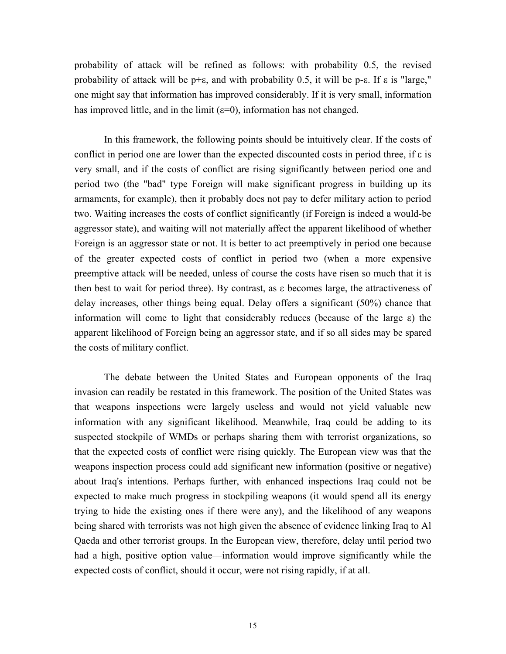probability of attack will be refined as follows: with probability 0.5, the revised probability of attack will be  $p+\varepsilon$ , and with probability 0.5, it will be p- $\varepsilon$ . If  $\varepsilon$  is "large," one might say that information has improved considerably. If it is very small, information has improved little, and in the limit  $(\epsilon=0)$ , information has not changed.

In this framework, the following points should be intuitively clear. If the costs of conflict in period one are lower than the expected discounted costs in period three, if  $\varepsilon$  is very small, and if the costs of conflict are rising significantly between period one and period two (the "bad" type Foreign will make significant progress in building up its armaments, for example), then it probably does not pay to defer military action to period two. Waiting increases the costs of conflict significantly (if Foreign is indeed a would-be aggressor state), and waiting will not materially affect the apparent likelihood of whether Foreign is an aggressor state or not. It is better to act preemptively in period one because of the greater expected costs of conflict in period two (when a more expensive preemptive attack will be needed, unless of course the costs have risen so much that it is then best to wait for period three). By contrast, as ε becomes large, the attractiveness of delay increases, other things being equal. Delay offers a significant (50%) chance that information will come to light that considerably reduces (because of the large ε) the apparent likelihood of Foreign being an aggressor state, and if so all sides may be spared the costs of military conflict.

The debate between the United States and European opponents of the Iraq invasion can readily be restated in this framework. The position of the United States was that weapons inspections were largely useless and would not yield valuable new information with any significant likelihood. Meanwhile, Iraq could be adding to its suspected stockpile of WMDs or perhaps sharing them with terrorist organizations, so that the expected costs of conflict were rising quickly. The European view was that the weapons inspection process could add significant new information (positive or negative) about Iraq's intentions. Perhaps further, with enhanced inspections Iraq could not be expected to make much progress in stockpiling weapons (it would spend all its energy trying to hide the existing ones if there were any), and the likelihood of any weapons being shared with terrorists was not high given the absence of evidence linking Iraq to Al Qaeda and other terrorist groups. In the European view, therefore, delay until period two had a high, positive option value—information would improve significantly while the expected costs of conflict, should it occur, were not rising rapidly, if at all.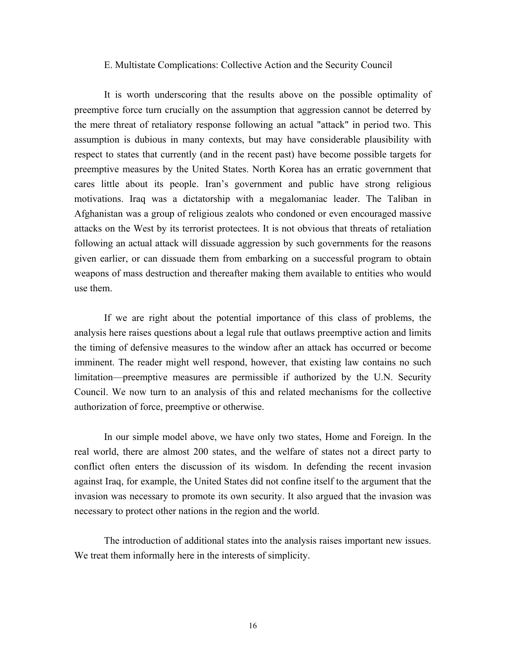#### E. Multistate Complications: Collective Action and the Security Council

It is worth underscoring that the results above on the possible optimality of preemptive force turn crucially on the assumption that aggression cannot be deterred by the mere threat of retaliatory response following an actual "attack" in period two. This assumption is dubious in many contexts, but may have considerable plausibility with respect to states that currently (and in the recent past) have become possible targets for preemptive measures by the United States. North Korea has an erratic government that cares little about its people. Iran's government and public have strong religious motivations. Iraq was a dictatorship with a megalomaniac leader. The Taliban in Afghanistan was a group of religious zealots who condoned or even encouraged massive attacks on the West by its terrorist protectees. It is not obvious that threats of retaliation following an actual attack will dissuade aggression by such governments for the reasons given earlier, or can dissuade them from embarking on a successful program to obtain weapons of mass destruction and thereafter making them available to entities who would use them.

If we are right about the potential importance of this class of problems, the analysis here raises questions about a legal rule that outlaws preemptive action and limits the timing of defensive measures to the window after an attack has occurred or become imminent. The reader might well respond, however, that existing law contains no such limitation—preemptive measures are permissible if authorized by the U.N. Security Council. We now turn to an analysis of this and related mechanisms for the collective authorization of force, preemptive or otherwise.

In our simple model above, we have only two states, Home and Foreign. In the real world, there are almost 200 states, and the welfare of states not a direct party to conflict often enters the discussion of its wisdom. In defending the recent invasion against Iraq, for example, the United States did not confine itself to the argument that the invasion was necessary to promote its own security. It also argued that the invasion was necessary to protect other nations in the region and the world.

The introduction of additional states into the analysis raises important new issues. We treat them informally here in the interests of simplicity.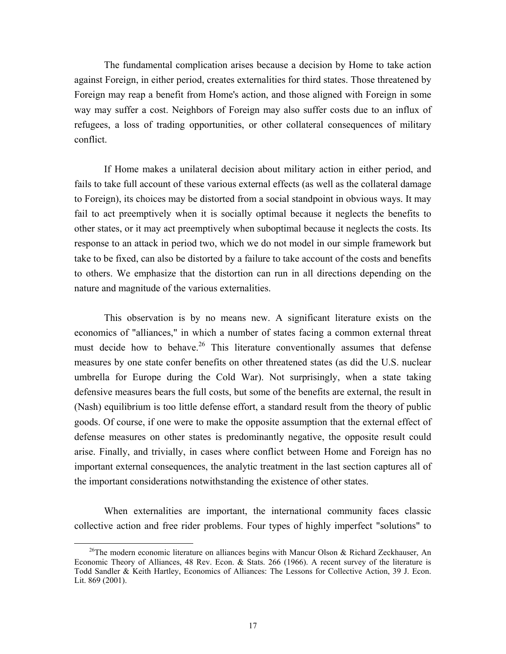The fundamental complication arises because a decision by Home to take action against Foreign, in either period, creates externalities for third states. Those threatened by Foreign may reap a benefit from Home's action, and those aligned with Foreign in some way may suffer a cost. Neighbors of Foreign may also suffer costs due to an influx of refugees, a loss of trading opportunities, or other collateral consequences of military conflict.

If Home makes a unilateral decision about military action in either period, and fails to take full account of these various external effects (as well as the collateral damage to Foreign), its choices may be distorted from a social standpoint in obvious ways. It may fail to act preemptively when it is socially optimal because it neglects the benefits to other states, or it may act preemptively when suboptimal because it neglects the costs. Its response to an attack in period two, which we do not model in our simple framework but take to be fixed, can also be distorted by a failure to take account of the costs and benefits to others. We emphasize that the distortion can run in all directions depending on the nature and magnitude of the various externalities.

This observation is by no means new. A significant literature exists on the economics of "alliances," in which a number of states facing a common external threat must decide how to behave.<sup>26</sup> This literature conventionally assumes that defense measures by one state confer benefits on other threatened states (as did the U.S. nuclear umbrella for Europe during the Cold War). Not surprisingly, when a state taking defensive measures bears the full costs, but some of the benefits are external, the result in (Nash) equilibrium is too little defense effort, a standard result from the theory of public goods. Of course, if one were to make the opposite assumption that the external effect of defense measures on other states is predominantly negative, the opposite result could arise. Finally, and trivially, in cases where conflict between Home and Foreign has no important external consequences, the analytic treatment in the last section captures all of the important considerations notwithstanding the existence of other states.

When externalities are important, the international community faces classic collective action and free rider problems. Four types of highly imperfect "solutions" to

<span id="page-18-0"></span><sup>&</sup>lt;sup>26</sup>The modern economic literature on alliances begins with Mancur Olson & Richard Zeckhauser, An Economic Theory of Alliances, 48 Rev. Econ. & Stats. 266 (1966). A recent survey of the literature is Todd Sandler & Keith Hartley, Economics of Alliances: The Lessons for Collective Action, 39 J. Econ. Lit. 869 (2001).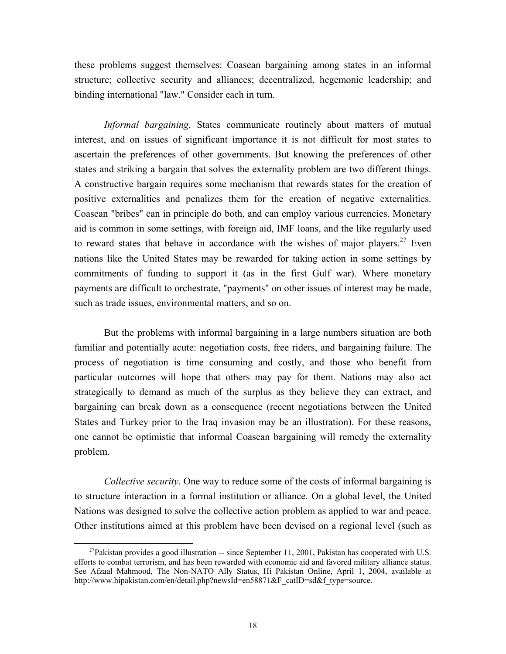these problems suggest themselves: Coasean bargaining among states in an informal structure; collective security and alliances; decentralized, hegemonic leadership; and binding international "law." Consider each in turn.

*Informal bargaining.* States communicate routinely about matters of mutual interest, and on issues of significant importance it is not difficult for most states to ascertain the preferences of other governments. But knowing the preferences of other states and striking a bargain that solves the externality problem are two different things. A constructive bargain requires some mechanism that rewards states for the creation of positive externalities and penalizes them for the creation of negative externalities. Coasean "bribes" can in principle do both, and can employ various currencies. Monetary aid is common in some settings, with foreign aid, IMF loans, and the like regularly used to reward states that behave in accordance with the wishes of major players.<sup>27</sup> Even nations like the United States may be rewarded for taking action in some settings by commitments of funding to support it (as in the first Gulf war). Where monetary payments are difficult to orchestrate, "payments" on other issues of interest may be made, such as trade issues, environmental matters, and so on.

But the problems with informal bargaining in a large numbers situation are both familiar and potentially acute: negotiation costs, free riders, and bargaining failure. The process of negotiation is time consuming and costly, and those who benefit from particular outcomes will hope that others may pay for them. Nations may also act strategically to demand as much of the surplus as they believe they can extract, and bargaining can break down as a consequence (recent negotiations between the United States and Turkey prior to the Iraq invasion may be an illustration). For these reasons, one cannot be optimistic that informal Coasean bargaining will remedy the externality problem.

*Collective security*. One way to reduce some of the costs of informal bargaining is to structure interaction in a formal institution or alliance. On a global level, the United Nations was designed to solve the collective action problem as applied to war and peace. Other institutions aimed at this problem have been devised on a regional level (such as

<span id="page-19-0"></span> $^{27}$ Pakistan provides a good illustration -- since September 11, 2001, Pakistan has cooperated with U.S. efforts to combat terrorism, and has been rewarded with economic aid and favored military alliance status. See Afzaal Mahmood, The Non-NATO Ally Status, Hi Pakistan Online, April 1, 2004, available at http://www.hipakistan.com/en/detail.php?newsId=en58871&F\_catID=sd&f\_type=source.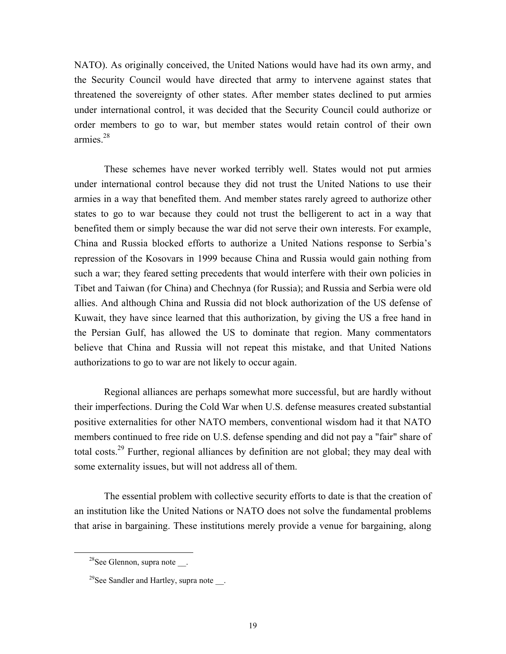NATO). As originally conceived, the United Nations would have had its own army, and the Security Council would have directed that army to intervene against states that threatened the sovereignty of other states. After member states declined to put armies under international control, it was decided that the Security Council could authorize or order members to go to war, but member states would retain control of their own armies $^{28}$  $^{28}$  $^{28}$ 

These schemes have never worked terribly well. States would not put armies under international control because they did not trust the United Nations to use their armies in a way that benefited them. And member states rarely agreed to authorize other states to go to war because they could not trust the belligerent to act in a way that benefited them or simply because the war did not serve their own interests. For example, China and Russia blocked efforts to authorize a United Nations response to Serbia's repression of the Kosovars in 1999 because China and Russia would gain nothing from such a war; they feared setting precedents that would interfere with their own policies in Tibet and Taiwan (for China) and Chechnya (for Russia); and Russia and Serbia were old allies. And although China and Russia did not block authorization of the US defense of Kuwait, they have since learned that this authorization, by giving the US a free hand in the Persian Gulf, has allowed the US to dominate that region. Many commentators believe that China and Russia will not repeat this mistake, and that United Nations authorizations to go to war are not likely to occur again.

Regional alliances are perhaps somewhat more successful, but are hardly without their imperfections. During the Cold War when U.S. defense measures created substantial positive externalities for other NATO members, conventional wisdom had it that NATO members continued to free ride on U.S. defense spending and did not pay a "fair" share of total costs.<sup>29</sup> Further, regional alliances by definition are not global; they may deal with some externality issues, but will not address all of them.

The essential problem with collective security efforts to date is that the creation of an institution like the United Nations or NATO does not solve the fundamental problems that arise in bargaining. These institutions merely provide a venue for bargaining, along

<span id="page-20-0"></span> $28$ See Glennon, supra note  $\qquad$ .

<span id="page-20-1"></span> $2^9$ See Sandler and Hartley, supra note \_\_\_.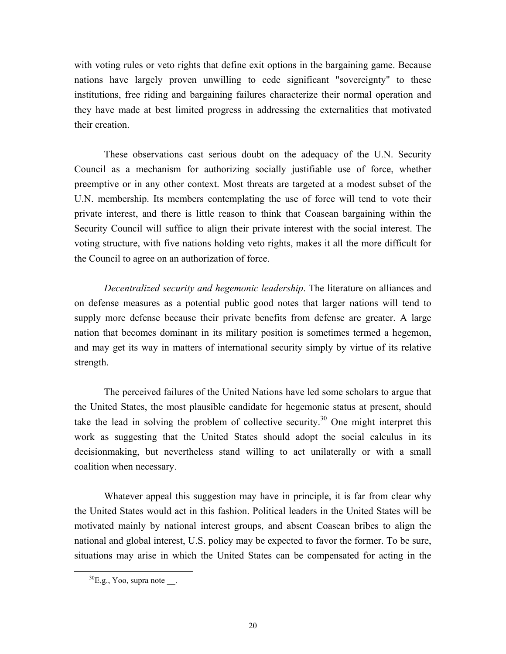with voting rules or veto rights that define exit options in the bargaining game. Because nations have largely proven unwilling to cede significant "sovereignty" to these institutions, free riding and bargaining failures characterize their normal operation and they have made at best limited progress in addressing the externalities that motivated their creation.

These observations cast serious doubt on the adequacy of the U.N. Security Council as a mechanism for authorizing socially justifiable use of force, whether preemptive or in any other context. Most threats are targeted at a modest subset of the U.N. membership. Its members contemplating the use of force will tend to vote their private interest, and there is little reason to think that Coasean bargaining within the Security Council will suffice to align their private interest with the social interest. The voting structure, with five nations holding veto rights, makes it all the more difficult for the Council to agree on an authorization of force.

*Decentralized security and hegemonic leadership*. The literature on alliances and on defense measures as a potential public good notes that larger nations will tend to supply more defense because their private benefits from defense are greater. A large nation that becomes dominant in its military position is sometimes termed a hegemon, and may get its way in matters of international security simply by virtue of its relative strength.

The perceived failures of the United Nations have led some scholars to argue that the United States, the most plausible candidate for hegemonic status at present, should take the lead in solving the problem of collective security.<sup>30</sup> One might interpret this work as suggesting that the United States should adopt the social calculus in its decisionmaking, but nevertheless stand willing to act unilaterally or with a small coalition when necessary.

Whatever appeal this suggestion may have in principle, it is far from clear why the United States would act in this fashion. Political leaders in the United States will be motivated mainly by national interest groups, and absent Coasean bribes to align the national and global interest, U.S. policy may be expected to favor the former. To be sure, situations may arise in which the United States can be compensated for acting in the

<span id="page-21-0"></span> ${}^{30}E.g.,$  Yoo, supra note  $\qquad$ .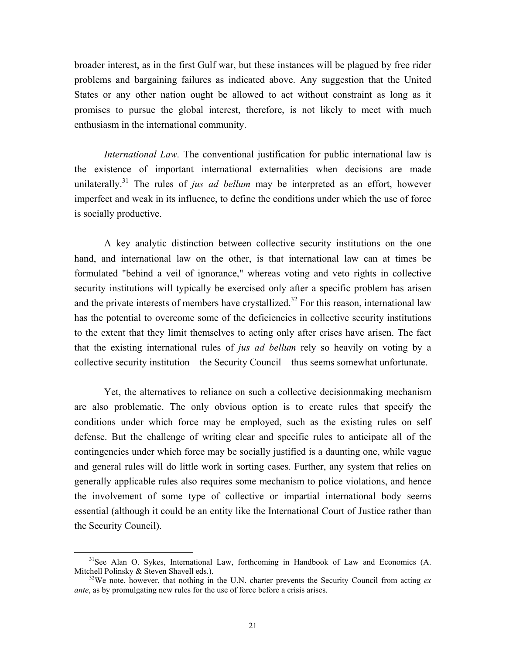broader interest, as in the first Gulf war, but these instances will be plagued by free rider problems and bargaining failures as indicated above. Any suggestion that the United States or any other nation ought be allowed to act without constraint as long as it promises to pursue the global interest, therefore, is not likely to meet with much enthusiasm in the international community.

*International Law.* The conventional justification for public international law is the existence of important international externalities when decisions are made unilaterally.[31](#page-22-0) The rules of *jus ad bellum* may be interpreted as an effort, however imperfect and weak in its influence, to define the conditions under which the use of force is socially productive.

A key analytic distinction between collective security institutions on the one hand, and international law on the other, is that international law can at times be formulated "behind a veil of ignorance," whereas voting and veto rights in collective security institutions will typically be exercised only after a specific problem has arisen and the private interests of members have crystallized.<sup>32</sup> For this reason, international law has the potential to overcome some of the deficiencies in collective security institutions to the extent that they limit themselves to acting only after crises have arisen. The fact that the existing international rules of *jus ad bellum* rely so heavily on voting by a collective security institution—the Security Council—thus seems somewhat unfortunate.

Yet, the alternatives to reliance on such a collective decisionmaking mechanism are also problematic. The only obvious option is to create rules that specify the conditions under which force may be employed, such as the existing rules on self defense. But the challenge of writing clear and specific rules to anticipate all of the contingencies under which force may be socially justified is a daunting one, while vague and general rules will do little work in sorting cases. Further, any system that relies on generally applicable rules also requires some mechanism to police violations, and hence the involvement of some type of collective or impartial international body seems essential (although it could be an entity like the International Court of Justice rather than the Security Council).

<span id="page-22-0"></span><sup>&</sup>lt;sup>31</sup>See Alan O. Sykes, International Law, forthcoming in Handbook of Law and Economics (A. Mitchell Polinsky & Steven Shavell eds.).

<span id="page-22-1"></span> $^{32}$ We note, however, that nothing in the U.N. charter prevents the Security Council from acting *ex ante*, as by promulgating new rules for the use of force before a crisis arises.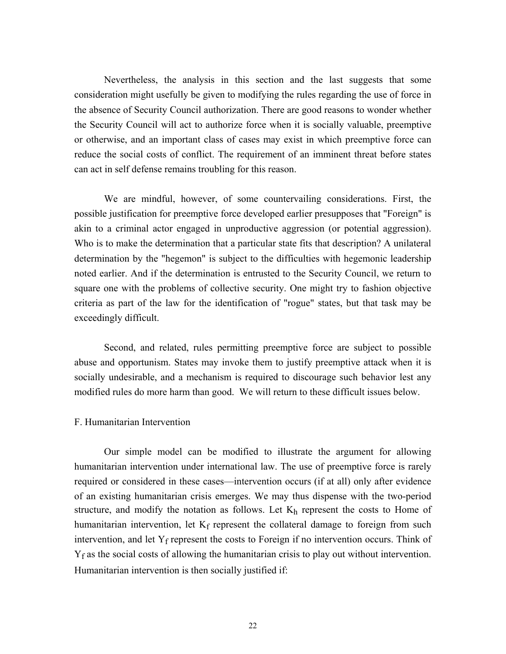Nevertheless, the analysis in this section and the last suggests that some consideration might usefully be given to modifying the rules regarding the use of force in the absence of Security Council authorization. There are good reasons to wonder whether the Security Council will act to authorize force when it is socially valuable, preemptive or otherwise, and an important class of cases may exist in which preemptive force can reduce the social costs of conflict. The requirement of an imminent threat before states can act in self defense remains troubling for this reason.

We are mindful, however, of some countervailing considerations. First, the possible justification for preemptive force developed earlier presupposes that "Foreign" is akin to a criminal actor engaged in unproductive aggression (or potential aggression). Who is to make the determination that a particular state fits that description? A unilateral determination by the "hegemon" is subject to the difficulties with hegemonic leadership noted earlier. And if the determination is entrusted to the Security Council, we return to square one with the problems of collective security. One might try to fashion objective criteria as part of the law for the identification of "rogue" states, but that task may be exceedingly difficult.

Second, and related, rules permitting preemptive force are subject to possible abuse and opportunism. States may invoke them to justify preemptive attack when it is socially undesirable, and a mechanism is required to discourage such behavior lest any modified rules do more harm than good. We will return to these difficult issues below.

#### F. Humanitarian Intervention

Our simple model can be modified to illustrate the argument for allowing humanitarian intervention under international law. The use of preemptive force is rarely required or considered in these cases—intervention occurs (if at all) only after evidence of an existing humanitarian crisis emerges. We may thus dispense with the two-period structure, and modify the notation as follows. Let  $K_h$  represent the costs to Home of humanitarian intervention, let  $K_f$  represent the collateral damage to foreign from such intervention, and let  $Y_f$  represent the costs to Foreign if no intervention occurs. Think of Yf as the social costs of allowing the humanitarian crisis to play out without intervention. Humanitarian intervention is then socially justified if: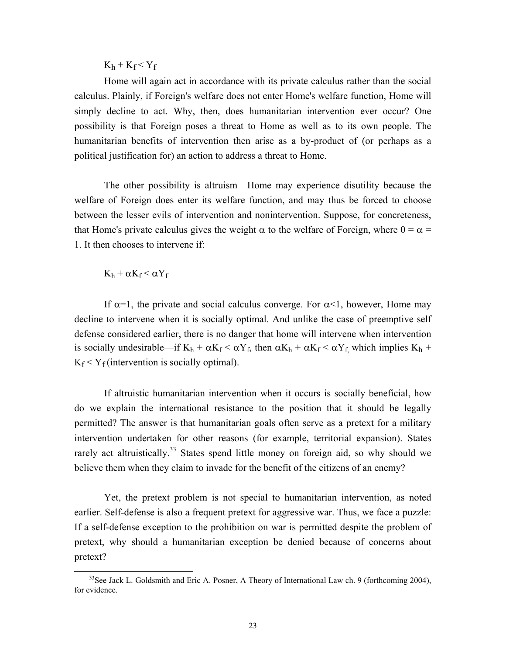$K_h + K_f < Y_f$ 

Home will again act in accordance with its private calculus rather than the social calculus. Plainly, if Foreign's welfare does not enter Home's welfare function, Home will simply decline to act. Why, then, does humanitarian intervention ever occur? One possibility is that Foreign poses a threat to Home as well as to its own people. The humanitarian benefits of intervention then arise as a by-product of (or perhaps as a political justification for) an action to address a threat to Home.

The other possibility is altruism—Home may experience disutility because the welfare of Foreign does enter its welfare function, and may thus be forced to choose between the lesser evils of intervention and nonintervention. Suppose, for concreteness, that Home's private calculus gives the weight  $\alpha$  to the welfare of Foreign, where  $0 = \alpha =$ 1. It then chooses to intervene if:

 $K_h + \alpha K_f < \alpha Y_f$ 

If  $\alpha$ =1, the private and social calculus converge. For  $\alpha$ <1, however, Home may decline to intervene when it is socially optimal. And unlike the case of preemptive self defense considered earlier, there is no danger that home will intervene when intervention is socially undesirable—if  $K_h + \alpha K_f < \alpha Y_f$ , then  $\alpha K_h + \alpha K_f < \alpha Y_f$ , which implies  $K_h$  +  $K_f < Y_f$  (intervention is socially optimal).

If altruistic humanitarian intervention when it occurs is socially beneficial, how do we explain the international resistance to the position that it should be legally permitted? The answer is that humanitarian goals often serve as a pretext for a military intervention undertaken for other reasons (for example, territorial expansion). States rarely act altruistically.<sup>33</sup> States spend little money on foreign aid, so why should we believe them when they claim to invade for the benefit of the citizens of an enemy?

Yet, the pretext problem is not special to humanitarian intervention, as noted earlier. Self-defense is also a frequent pretext for aggressive war. Thus, we face a puzzle: If a self-defense exception to the prohibition on war is permitted despite the problem of pretext, why should a humanitarian exception be denied because of concerns about pretext?

<span id="page-24-0"></span><sup>&</sup>lt;sup>33</sup>See Jack L. Goldsmith and Eric A. Posner, A Theory of International Law ch. 9 (forthcoming 2004), for evidence.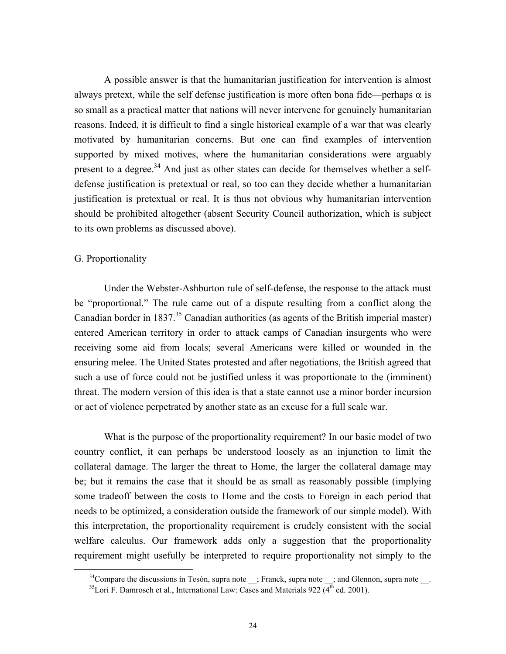A possible answer is that the humanitarian justification for intervention is almost always pretext, while the self defense justification is more often bona fide—perhaps  $\alpha$  is so small as a practical matter that nations will never intervene for genuinely humanitarian reasons. Indeed, it is difficult to find a single historical example of a war that was clearly motivated by humanitarian concerns. But one can find examples of intervention supported by mixed motives, where the humanitarian considerations were arguably present to a degree.<sup>34</sup> And just as other states can decide for themselves whether a selfdefense justification is pretextual or real, so too can they decide whether a humanitarian justification is pretextual or real. It is thus not obvious why humanitarian intervention should be prohibited altogether (absent Security Council authorization, which is subject to its own problems as discussed above).

#### G. Proportionality

Under the Webster-Ashburton rule of self-defense, the response to the attack must be "proportional." The rule came out of a dispute resulting from a conflict along the Canadian border in 1837.<sup>35</sup> Canadian authorities (as agents of the British imperial master) entered American territory in order to attack camps of Canadian insurgents who were receiving some aid from locals; several Americans were killed or wounded in the ensuring melee. The United States protested and after negotiations, the British agreed that such a use of force could not be justified unless it was proportionate to the (imminent) threat. The modern version of this idea is that a state cannot use a minor border incursion or act of violence perpetrated by another state as an excuse for a full scale war.

What is the purpose of the proportionality requirement? In our basic model of two country conflict, it can perhaps be understood loosely as an injunction to limit the collateral damage. The larger the threat to Home, the larger the collateral damage may be; but it remains the case that it should be as small as reasonably possible (implying some tradeoff between the costs to Home and the costs to Foreign in each period that needs to be optimized, a consideration outside the framework of our simple model). With this interpretation, the proportionality requirement is crudely consistent with the social welfare calculus. Our framework adds only a suggestion that the proportionality requirement might usefully be interpreted to require proportionality not simply to the

<span id="page-25-0"></span><sup>&</sup>lt;sup>34</sup>Compare the discussions in Tesón, supra note \_\_; Franck, supra note \_\_; and Glennon, supra note \_\_. <sup>35</sup>Lori F. Damrosch et al., International Law: Cases and Materials 922 ( $4<sup>th</sup>$  ed. 2001).

<span id="page-25-1"></span>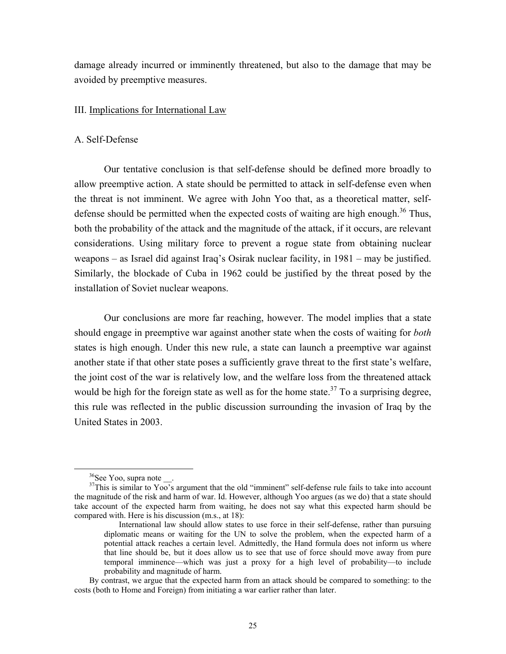damage already incurred or imminently threatened, but also to the damage that may be avoided by preemptive measures.

#### III. Implications for International Law

#### A. Self-Defense

Our tentative conclusion is that self-defense should be defined more broadly to allow preemptive action. A state should be permitted to attack in self-defense even when the threat is not imminent. We agree with John Yoo that, as a theoretical matter, selfdefense should be permitted when the expected costs of waiting are high enough.<sup>36</sup> Thus, both the probability of the attack and the magnitude of the attack, if it occurs, are relevant considerations. Using military force to prevent a rogue state from obtaining nuclear weapons – as Israel did against Iraq's Osirak nuclear facility, in 1981 – may be justified. Similarly, the blockade of Cuba in 1962 could be justified by the threat posed by the installation of Soviet nuclear weapons.

Our conclusions are more far reaching, however. The model implies that a state should engage in preemptive war against another state when the costs of waiting for *both* states is high enough. Under this new rule, a state can launch a preemptive war against another state if that other state poses a sufficiently grave threat to the first state's welfare, the joint cost of the war is relatively low, and the welfare loss from the threatened attack would be high for the foreign state as well as for the home state.<sup>37</sup> To a surprising degree, this rule was reflected in the public discussion surrounding the invasion of Iraq by the United States in 2003.

<span id="page-26-1"></span><span id="page-26-0"></span>

 $36$ See Yoo, supra note  $\frac{1}{37}$ .<br> $37$ This is similar to Yoo's argument that the old "imminent" self-defense rule fails to take into account the magnitude of the risk and harm of war. Id. However, although Yoo argues (as we do) that a state should take account of the expected harm from waiting, he does not say what this expected harm should be compared with. Here is his discussion (m.s., at 18):

International law should allow states to use force in their self-defense, rather than pursuing diplomatic means or waiting for the UN to solve the problem, when the expected harm of a potential attack reaches a certain level. Admittedly, the Hand formula does not inform us where that line should be, but it does allow us to see that use of force should move away from pure temporal imminence—which was just a proxy for a high level of probability—to include probability and magnitude of harm.

By contrast, we argue that the expected harm from an attack should be compared to something: to the costs (both to Home and Foreign) from initiating a war earlier rather than later.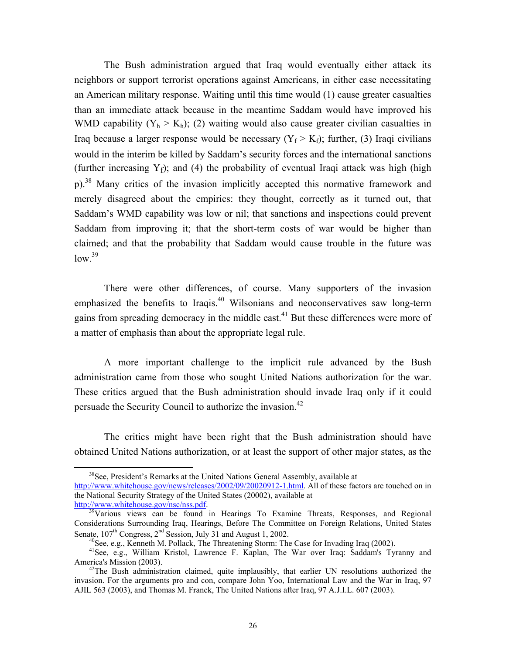The Bush administration argued that Iraq would eventually either attack its neighbors or support terrorist operations against Americans, in either case necessitating an American military response. Waiting until this time would (1) cause greater casualties than an immediate attack because in the meantime Saddam would have improved his WMD capability  $(Y_h > K_h)$ ; (2) waiting would also cause greater civilian casualties in Iraq because a larger response would be necessary  $(Y_f > K_f)$ ; further, (3) Iraqi civilians would in the interim be killed by Saddam's security forces and the international sanctions (further increasing  $Y_f$ ); and (4) the probability of eventual Iraqi attack was high (high p)[.38](#page-27-0) Many critics of the invasion implicitly accepted this normative framework and merely disagreed about the empirics: they thought, correctly as it turned out, that Saddam's WMD capability was low or nil; that sanctions and inspections could prevent Saddam from improving it; that the short-term costs of war would be higher than claimed; and that the probability that Saddam would cause trouble in the future was  $low.^{39}$  $low.^{39}$  $low.^{39}$ 

There were other differences, of course. Many supporters of the invasion emphasized the benefits to Iraqis.<sup>40</sup> Wilsonians and neoconservatives saw long-term gains from spreading democracy in the middle east.<sup>41</sup> But these differences were more of a matter of emphasis than about the appropriate legal rule.

A more important challenge to the implicit rule advanced by the Bush administration came from those who sought United Nations authorization for the war. These critics argued that the Bush administration should invade Iraq only if it could persuade the Security Council to authorize the invasion.<sup>42</sup>

The critics might have been right that the Bush administration should have obtained United Nations authorization, or at least the support of other major states, as the

<span id="page-27-0"></span> $38$ See, President's Remarks at the United Nations General Assembly, available at http://www.whitehouse.gov/news/releases/2002/09/20020912-1.html. All of these factors are touched on in the National Security Strategy of the United States (20002), available at http://www.whitehouse.gov/nsc/nss.pdf.

<span id="page-27-1"></span><sup>&</sup>lt;sup>39</sup>Various views can be found in Hearings To Examine Threats, Responses, and Regional Considerations Surrounding Iraq, Hearings, Before The Committee on Foreign Relations, United States

<span id="page-27-3"></span><span id="page-27-2"></span>

Senate, 107<sup>th</sup> Congress, 2<sup>nd</sup> Session, July 31 and August 1, 2002.<br><sup>40</sup>See, e.g., Kenneth M. Pollack, The Threatening Storm: The Case for Invading Iraq (2002).<br><sup>41</sup>See, e.g., William Kristol, Lawrence F. Kaplan, The War

<span id="page-27-4"></span> $42$ The Bush administration claimed, quite implausibly, that earlier UN resolutions authorized the invasion. For the arguments pro and con, compare John Yoo, International Law and the War in Iraq, 97 AJIL 563 (2003), and Thomas M. Franck, The United Nations after Iraq, 97 A.J.I.L. 607 (2003).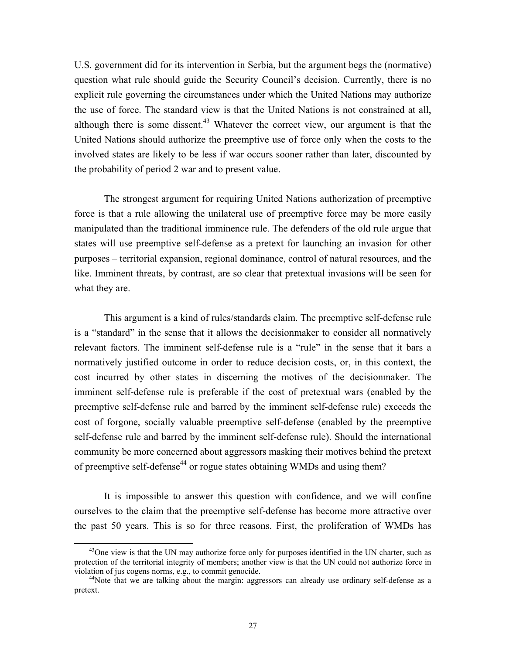U.S. government did for its intervention in Serbia, but the argument begs the (normative) question what rule should guide the Security Council's decision. Currently, there is no explicit rule governing the circumstances under which the United Nations may authorize the use of force. The standard view is that the United Nations is not constrained at all, although there is some dissent. $43$  Whatever the correct view, our argument is that the United Nations should authorize the preemptive use of force only when the costs to the involved states are likely to be less if war occurs sooner rather than later, discounted by the probability of period 2 war and to present value.

The strongest argument for requiring United Nations authorization of preemptive force is that a rule allowing the unilateral use of preemptive force may be more easily manipulated than the traditional imminence rule. The defenders of the old rule argue that states will use preemptive self-defense as a pretext for launching an invasion for other purposes – territorial expansion, regional dominance, control of natural resources, and the like. Imminent threats, by contrast, are so clear that pretextual invasions will be seen for what they are.

This argument is a kind of rules/standards claim. The preemptive self-defense rule is a "standard" in the sense that it allows the decisionmaker to consider all normatively relevant factors. The imminent self-defense rule is a "rule" in the sense that it bars a normatively justified outcome in order to reduce decision costs, or, in this context, the cost incurred by other states in discerning the motives of the decisionmaker. The imminent self-defense rule is preferable if the cost of pretextual wars (enabled by the preemptive self-defense rule and barred by the imminent self-defense rule) exceeds the cost of forgone, socially valuable preemptive self-defense (enabled by the preemptive self-defense rule and barred by the imminent self-defense rule). Should the international community be more concerned about aggressors masking their motives behind the pretext of preemptive self-defense<sup>44</sup> or rogue states obtaining WMDs and using them?

It is impossible to answer this question with confidence, and we will confine ourselves to the claim that the preemptive self-defense has become more attractive over the past 50 years. This is so for three reasons. First, the proliferation of WMDs has

<span id="page-28-0"></span> $^{43}$ One view is that the UN may authorize force only for purposes identified in the UN charter, such as protection of the territorial integrity of members; another view is that the UN could not authorize force in violation of jus cogens norms, e.g., to commit genocide.<br><sup>44</sup>Note that we are talking about the margin: aggressors can already use ordinary self-defense as a

<span id="page-28-1"></span>pretext.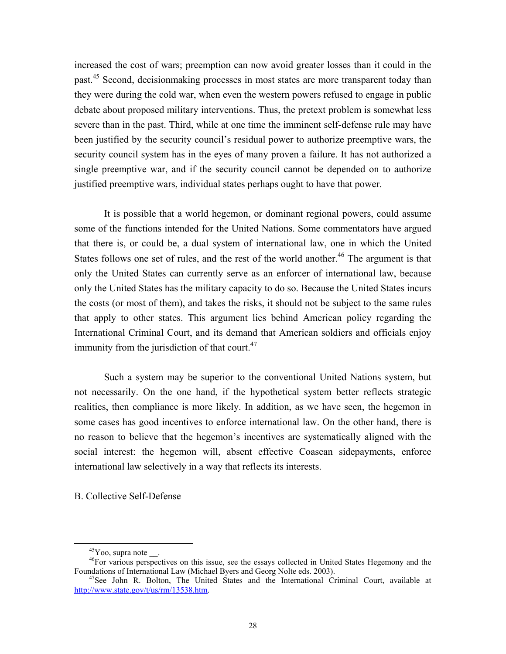increased the cost of wars; preemption can now avoid greater losses than it could in the past.<sup>45</sup> Second, decisionmaking processes in most states are more transparent today than they were during the cold war, when even the western powers refused to engage in public debate about proposed military interventions. Thus, the pretext problem is somewhat less severe than in the past. Third, while at one time the imminent self-defense rule may have been justified by the security council's residual power to authorize preemptive wars, the security council system has in the eyes of many proven a failure. It has not authorized a single preemptive war, and if the security council cannot be depended on to authorize justified preemptive wars, individual states perhaps ought to have that power.

It is possible that a world hegemon, or dominant regional powers, could assume some of the functions intended for the United Nations. Some commentators have argued that there is, or could be, a dual system of international law, one in which the United States follows one set of rules, and the rest of the world another.<sup>46</sup> The argument is that only the United States can currently serve as an enforcer of international law, because only the United States has the military capacity to do so. Because the United States incurs the costs (or most of them), and takes the risks, it should not be subject to the same rules that apply to other states. This argument lies behind American policy regarding the International Criminal Court, and its demand that American soldiers and officials enjoy immunity from the jurisdiction of that court. $47$ 

Such a system may be superior to the conventional United Nations system, but not necessarily. On the one hand, if the hypothetical system better reflects strategic realities, then compliance is more likely. In addition, as we have seen, the hegemon in some cases has good incentives to enforce international law. On the other hand, there is no reason to believe that the hegemon's incentives are systematically aligned with the social interest: the hegemon will, absent effective Coasean sidepayments, enforce international law selectively in a way that reflects its interests.

#### B. Collective Self-Defense

<span id="page-29-1"></span><span id="page-29-0"></span>

 $^{45}$ Yoo, supra note <sub>\_\_\_</sub>.<br><sup>46</sup>For various perspectives on this issue, see the essays collected in United States Hegemony and the Foundations of International Law (Michael Byers and Georg Nolte eds. 2003).<br><sup>47</sup>See John R. Bolton, The United States and the International Criminal Court, available at

<span id="page-29-2"></span>http://www.state.gov/t/us/rm/13538.htm.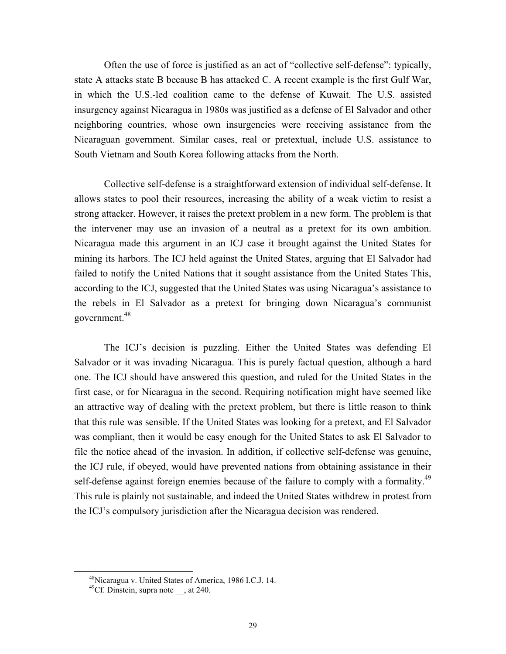Often the use of force is justified as an act of "collective self-defense": typically, state A attacks state B because B has attacked C. A recent example is the first Gulf War, in which the U.S.-led coalition came to the defense of Kuwait. The U.S. assisted insurgency against Nicaragua in 1980s was justified as a defense of El Salvador and other neighboring countries, whose own insurgencies were receiving assistance from the Nicaraguan government. Similar cases, real or pretextual, include U.S. assistance to South Vietnam and South Korea following attacks from the North.

Collective self-defense is a straightforward extension of individual self-defense. It allows states to pool their resources, increasing the ability of a weak victim to resist a strong attacker. However, it raises the pretext problem in a new form. The problem is that the intervener may use an invasion of a neutral as a pretext for its own ambition. Nicaragua made this argument in an ICJ case it brought against the United States for mining its harbors. The ICJ held against the United States, arguing that El Salvador had failed to notify the United Nations that it sought assistance from the United States This, according to the ICJ, suggested that the United States was using Nicaragua's assistance to the rebels in El Salvador as a pretext for bringing down Nicaragua's communist government[.48](#page-30-0)

The ICJ's decision is puzzling. Either the United States was defending El Salvador or it was invading Nicaragua. This is purely factual question, although a hard one. The ICJ should have answered this question, and ruled for the United States in the first case, or for Nicaragua in the second. Requiring notification might have seemed like an attractive way of dealing with the pretext problem, but there is little reason to think that this rule was sensible. If the United States was looking for a pretext, and El Salvador was compliant, then it would be easy enough for the United States to ask El Salvador to file the notice ahead of the invasion. In addition, if collective self-defense was genuine, the ICJ rule, if obeyed, would have prevented nations from obtaining assistance in their self-defense against foreign enemies because of the failure to comply with a formality.<sup>49</sup> This rule is plainly not sustainable, and indeed the United States withdrew in protest from the ICJ's compulsory jurisdiction after the Nicaragua decision was rendered.

<span id="page-30-0"></span><sup>&</sup>lt;sup>48</sup>Nicaragua v. United States of America, 1986 I.C.J. 14.<br><sup>49</sup>Cf. Dinstein, supra note \_\_, at 240.

<span id="page-30-1"></span>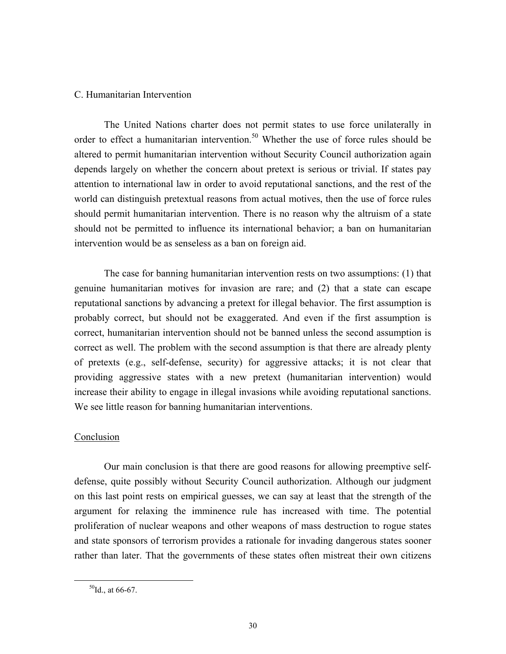#### C. Humanitarian Intervention

The United Nations charter does not permit states to use force unilaterally in order to effect a humanitarian intervention.<sup>50</sup> Whether the use of force rules should be altered to permit humanitarian intervention without Security Council authorization again depends largely on whether the concern about pretext is serious or trivial. If states pay attention to international law in order to avoid reputational sanctions, and the rest of the world can distinguish pretextual reasons from actual motives, then the use of force rules should permit humanitarian intervention. There is no reason why the altruism of a state should not be permitted to influence its international behavior; a ban on humanitarian intervention would be as senseless as a ban on foreign aid.

The case for banning humanitarian intervention rests on two assumptions: (1) that genuine humanitarian motives for invasion are rare; and (2) that a state can escape reputational sanctions by advancing a pretext for illegal behavior. The first assumption is probably correct, but should not be exaggerated. And even if the first assumption is correct, humanitarian intervention should not be banned unless the second assumption is correct as well. The problem with the second assumption is that there are already plenty of pretexts (e.g., self-defense, security) for aggressive attacks; it is not clear that providing aggressive states with a new pretext (humanitarian intervention) would increase their ability to engage in illegal invasions while avoiding reputational sanctions. We see little reason for banning humanitarian interventions.

#### Conclusion

Our main conclusion is that there are good reasons for allowing preemptive selfdefense, quite possibly without Security Council authorization. Although our judgment on this last point rests on empirical guesses, we can say at least that the strength of the argument for relaxing the imminence rule has increased with time. The potential proliferation of nuclear weapons and other weapons of mass destruction to rogue states and state sponsors of terrorism provides a rationale for invading dangerous states sooner rather than later. That the governments of these states often mistreat their own citizens

<span id="page-31-0"></span> $50$ Id., at 66-67.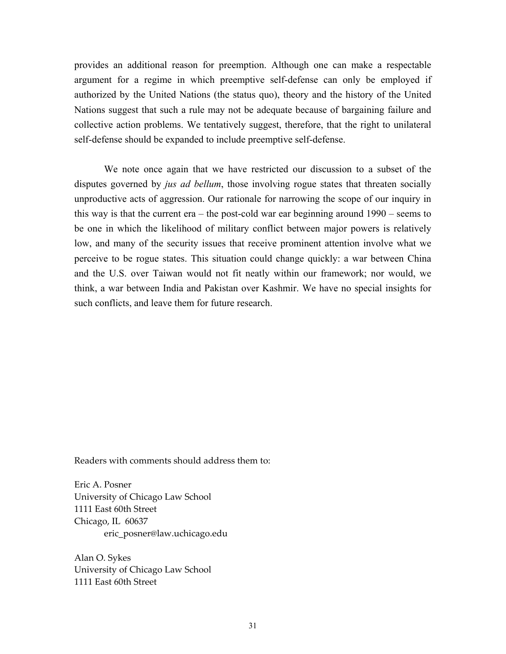provides an additional reason for preemption. Although one can make a respectable argument for a regime in which preemptive self-defense can only be employed if authorized by the United Nations (the status quo), theory and the history of the United Nations suggest that such a rule may not be adequate because of bargaining failure and collective action problems. We tentatively suggest, therefore, that the right to unilateral self-defense should be expanded to include preemptive self-defense.

We note once again that we have restricted our discussion to a subset of the disputes governed by *jus ad bellum*, those involving rogue states that threaten socially unproductive acts of aggression. Our rationale for narrowing the scope of our inquiry in this way is that the current era – the post-cold war ear beginning around 1990 – seems to be one in which the likelihood of military conflict between major powers is relatively low, and many of the security issues that receive prominent attention involve what we perceive to be rogue states. This situation could change quickly: a war between China and the U.S. over Taiwan would not fit neatly within our framework; nor would, we think, a war between India and Pakistan over Kashmir. We have no special insights for such conflicts, and leave them for future research.

Readers with comments should address them to:

Eric A. Posner University of Chicago Law School 1111 East 60th Street Chicago, IL 60637 eric\_posner@law.uchicago.edu

Alan O. Sykes University of Chicago Law School 1111 East 60th Street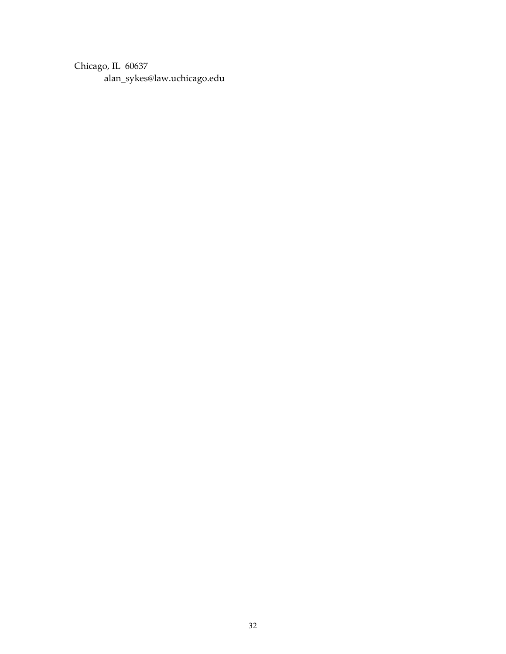Chicago, IL 60637 alan\_sykes@law.uchicago.edu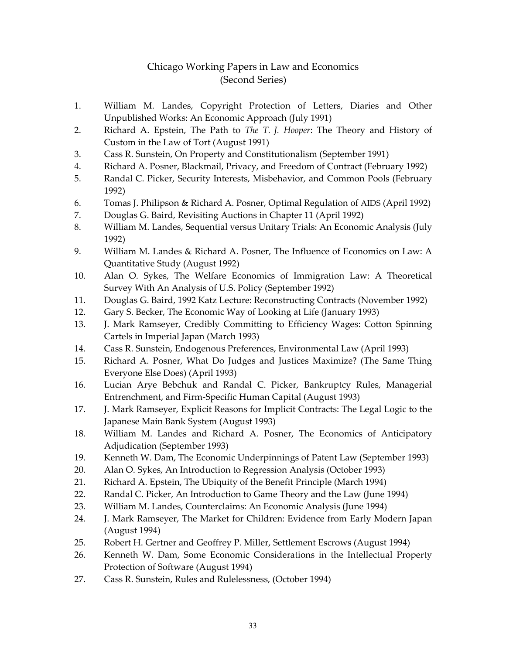## Chicago Working Papers in Law and Economics (Second Series)

- 1. William M. Landes, Copyright Protection of Letters, Diaries and Other Unpublished Works: An Economic Approach (July 1991)
- 2. Richard A. Epstein, The Path to *The T. J. Hooper*: The Theory and History of Custom in the Law of Tort (August 1991)
- 3. Cass R. Sunstein, On Property and Constitutionalism (September 1991)
- 4. Richard A. Posner, Blackmail, Privacy, and Freedom of Contract (February 1992)
- 5. Randal C. Picker, Security Interests, Misbehavior, and Common Pools (February 1992)
- 6. Tomas J. Philipson & Richard A. Posner, Optimal Regulation of AIDS (April 1992)
- 7. Douglas G. Baird, Revisiting Auctions in Chapter 11 (April 1992)
- 8. William M. Landes, Sequential versus Unitary Trials: An Economic Analysis (July 1992)
- 9. William M. Landes & Richard A. Posner, The Influence of Economics on Law: A Quantitative Study (August 1992)
- 10. Alan O. Sykes, The Welfare Economics of Immigration Law: A Theoretical Survey With An Analysis of U.S. Policy (September 1992)
- 11. Douglas G. Baird, 1992 Katz Lecture: Reconstructing Contracts (November 1992)
- 12. Gary S. Becker, The Economic Way of Looking at Life (January 1993)
- 13. J. Mark Ramseyer, Credibly Committing to Efficiency Wages: Cotton Spinning Cartels in Imperial Japan (March 1993)
- 14. Cass R. Sunstein, Endogenous Preferences, Environmental Law (April 1993)
- 15. Richard A. Posner, What Do Judges and Justices Maximize? (The Same Thing Everyone Else Does) (April 1993)
- 16. Lucian Arye Bebchuk and Randal C. Picker, Bankruptcy Rules, Managerial Entrenchment, and Firm-Specific Human Capital (August 1993)
- 17. J. Mark Ramseyer, Explicit Reasons for Implicit Contracts: The Legal Logic to the Japanese Main Bank System (August 1993)
- 18. William M. Landes and Richard A. Posner, The Economics of Anticipatory Adjudication (September 1993)
- 19. Kenneth W. Dam, The Economic Underpinnings of Patent Law (September 1993)
- 20. Alan O. Sykes, An Introduction to Regression Analysis (October 1993)
- 21. Richard A. Epstein, The Ubiquity of the Benefit Principle (March 1994)
- 22. Randal C. Picker, An Introduction to Game Theory and the Law (June 1994)
- 23. William M. Landes, Counterclaims: An Economic Analysis (June 1994)
- 24. J. Mark Ramseyer, The Market for Children: Evidence from Early Modern Japan (August 1994)
- 25. Robert H. Gertner and Geoffrey P. Miller, Settlement Escrows (August 1994)
- 26. Kenneth W. Dam, Some Economic Considerations in the Intellectual Property Protection of Software (August 1994)
- 27. Cass R. Sunstein, Rules and Rulelessness, (October 1994)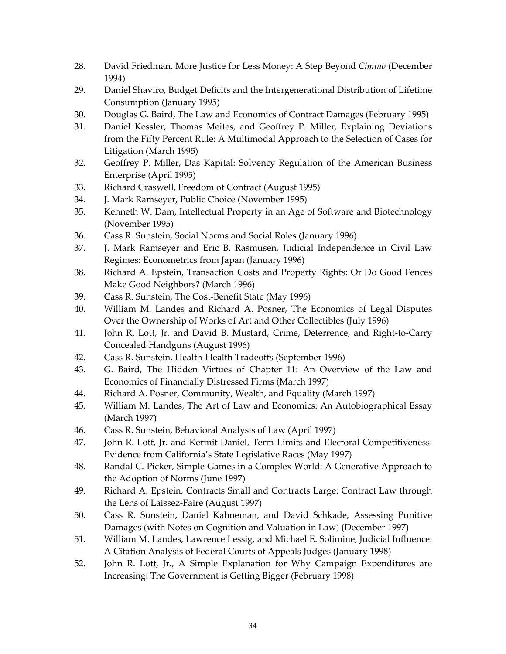- 28. David Friedman, More Justice for Less Money: A Step Beyond *Cimino* (December 1994)
- 29. Daniel Shaviro, Budget Deficits and the Intergenerational Distribution of Lifetime Consumption (January 1995)
- 30. Douglas G. Baird, The Law and Economics of Contract Damages (February 1995)
- 31. Daniel Kessler, Thomas Meites, and Geoffrey P. Miller, Explaining Deviations from the Fifty Percent Rule: A Multimodal Approach to the Selection of Cases for Litigation (March 1995)
- 32. Geoffrey P. Miller, Das Kapital: Solvency Regulation of the American Business Enterprise (April 1995)
- 33. Richard Craswell, Freedom of Contract (August 1995)
- 34. J. Mark Ramseyer, Public Choice (November 1995)
- 35. Kenneth W. Dam, Intellectual Property in an Age of Software and Biotechnology (November 1995)
- 36. Cass R. Sunstein, Social Norms and Social Roles (January 1996)
- 37. J. Mark Ramseyer and Eric B. Rasmusen, Judicial Independence in Civil Law Regimes: Econometrics from Japan (January 1996)
- 38. Richard A. Epstein, Transaction Costs and Property Rights: Or Do Good Fences Make Good Neighbors? (March 1996)
- 39. Cass R. Sunstein, The Cost-Benefit State (May 1996)
- 40. William M. Landes and Richard A. Posner, The Economics of Legal Disputes Over the Ownership of Works of Art and Other Collectibles (July 1996)
- 41. John R. Lott, Jr. and David B. Mustard, Crime, Deterrence, and Right-to-Carry Concealed Handguns (August 1996)
- 42. Cass R. Sunstein, Health-Health Tradeoffs (September 1996)
- 43. G. Baird, The Hidden Virtues of Chapter 11: An Overview of the Law and Economics of Financially Distressed Firms (March 1997)
- 44. Richard A. Posner, Community, Wealth, and Equality (March 1997)
- 45. William M. Landes, The Art of Law and Economics: An Autobiographical Essay (March 1997)
- 46. Cass R. Sunstein, Behavioral Analysis of Law (April 1997)
- 47. John R. Lott, Jr. and Kermit Daniel, Term Limits and Electoral Competitiveness: Evidence from California's State Legislative Races (May 1997)
- 48. Randal C. Picker, Simple Games in a Complex World: A Generative Approach to the Adoption of Norms (June 1997)
- 49. Richard A. Epstein, Contracts Small and Contracts Large: Contract Law through the Lens of Laissez-Faire (August 1997)
- 50. Cass R. Sunstein, Daniel Kahneman, and David Schkade, Assessing Punitive Damages (with Notes on Cognition and Valuation in Law) (December 1997)
- 51. William M. Landes, Lawrence Lessig, and Michael E. Solimine, Judicial Influence: A Citation Analysis of Federal Courts of Appeals Judges (January 1998)
- 52. John R. Lott, Jr., A Simple Explanation for Why Campaign Expenditures are Increasing: The Government is Getting Bigger (February 1998)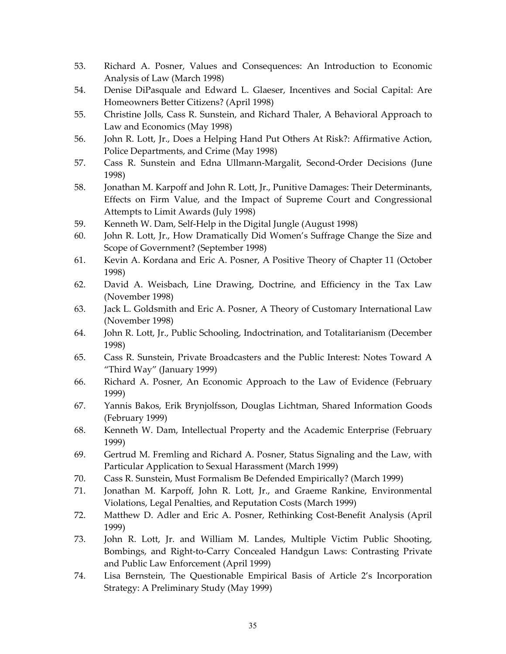- 53. Richard A. Posner, Values and Consequences: An Introduction to Economic Analysis of Law (March 1998)
- 54. Denise DiPasquale and Edward L. Glaeser, Incentives and Social Capital: Are Homeowners Better Citizens? (April 1998)
- 55. Christine Jolls, Cass R. Sunstein, and Richard Thaler, A Behavioral Approach to Law and Economics (May 1998)
- 56. John R. Lott, Jr., Does a Helping Hand Put Others At Risk?: Affirmative Action, Police Departments, and Crime (May 1998)
- 57. Cass R. Sunstein and Edna Ullmann-Margalit, Second-Order Decisions (June 1998)
- 58. Jonathan M. Karpoff and John R. Lott, Jr., Punitive Damages: Their Determinants, Effects on Firm Value, and the Impact of Supreme Court and Congressional Attempts to Limit Awards (July 1998)
- 59. Kenneth W. Dam, Self-Help in the Digital Jungle (August 1998)
- 60. John R. Lott, Jr., How Dramatically Did Women's Suffrage Change the Size and Scope of Government? (September 1998)
- 61. Kevin A. Kordana and Eric A. Posner, A Positive Theory of Chapter 11 (October 1998)
- 62. David A. Weisbach, Line Drawing, Doctrine, and Efficiency in the Tax Law (November 1998)
- 63. Jack L. Goldsmith and Eric A. Posner, A Theory of Customary International Law (November 1998)
- 64. John R. Lott, Jr., Public Schooling, Indoctrination, and Totalitarianism (December 1998)
- 65. Cass R. Sunstein, Private Broadcasters and the Public Interest: Notes Toward A "Third Way" (January 1999)
- 66. Richard A. Posner, An Economic Approach to the Law of Evidence (February 1999)
- 67. Yannis Bakos, Erik Brynjolfsson, Douglas Lichtman, Shared Information Goods (February 1999)
- 68. Kenneth W. Dam, Intellectual Property and the Academic Enterprise (February 1999)
- 69. Gertrud M. Fremling and Richard A. Posner, Status Signaling and the Law, with Particular Application to Sexual Harassment (March 1999)
- 70. Cass R. Sunstein, Must Formalism Be Defended Empirically? (March 1999)
- 71. Jonathan M. Karpoff, John R. Lott, Jr., and Graeme Rankine, Environmental Violations, Legal Penalties, and Reputation Costs (March 1999)
- 72. Matthew D. Adler and Eric A. Posner, Rethinking Cost-Benefit Analysis (April 1999)
- 73. John R. Lott, Jr. and William M. Landes, Multiple Victim Public Shooting, Bombings, and Right-to-Carry Concealed Handgun Laws: Contrasting Private and Public Law Enforcement (April 1999)
- 74. Lisa Bernstein, The Questionable Empirical Basis of Article 2's Incorporation Strategy: A Preliminary Study (May 1999)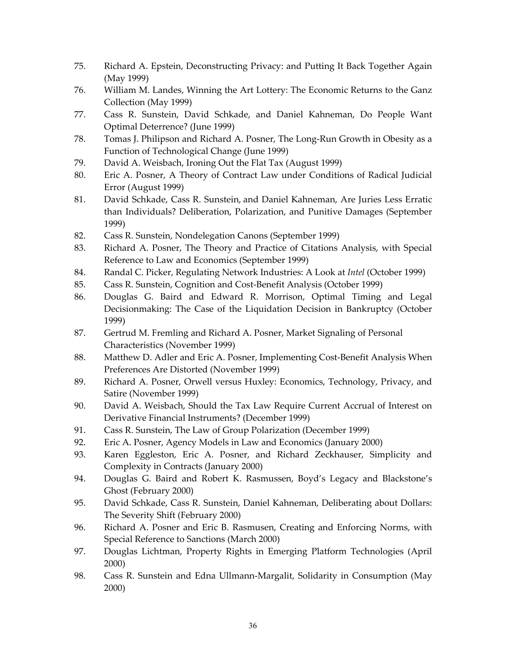- 75. Richard A. Epstein, Deconstructing Privacy: and Putting It Back Together Again (May 1999)
- 76. William M. Landes, Winning the Art Lottery: The Economic Returns to the Ganz Collection (May 1999)
- 77. Cass R. Sunstein, David Schkade, and Daniel Kahneman, Do People Want Optimal Deterrence? (June 1999)
- 78. Tomas J. Philipson and Richard A. Posner, The Long-Run Growth in Obesity as a Function of Technological Change (June 1999)
- 79. David A. Weisbach, Ironing Out the Flat Tax (August 1999)
- 80. Eric A. Posner, A Theory of Contract Law under Conditions of Radical Judicial Error (August 1999)
- 81. David Schkade, Cass R. Sunstein, and Daniel Kahneman, Are Juries Less Erratic than Individuals? Deliberation, Polarization, and Punitive Damages (September 1999)
- 82. Cass R. Sunstein, Nondelegation Canons (September 1999)
- 83. Richard A. Posner, The Theory and Practice of Citations Analysis, with Special Reference to Law and Economics (September 1999)
- 84. Randal C. Picker, Regulating Network Industries: A Look at *Intel* (October 1999)
- 85. Cass R. Sunstein, Cognition and Cost-Benefit Analysis (October 1999)
- 86. Douglas G. Baird and Edward R. Morrison, Optimal Timing and Legal Decisionmaking: The Case of the Liquidation Decision in Bankruptcy (October 1999)
- 87. Gertrud M. Fremling and Richard A. Posner, Market Signaling of Personal Characteristics (November 1999)
- 88. Matthew D. Adler and Eric A. Posner, Implementing Cost-Benefit Analysis When Preferences Are Distorted (November 1999)
- 89. Richard A. Posner, Orwell versus Huxley: Economics, Technology, Privacy, and Satire (November 1999)
- 90. David A. Weisbach, Should the Tax Law Require Current Accrual of Interest on Derivative Financial Instruments? (December 1999)
- 91. Cass R. Sunstein, The Law of Group Polarization (December 1999)
- 92. Eric A. Posner, Agency Models in Law and Economics (January 2000)
- 93. Karen Eggleston, Eric A. Posner, and Richard Zeckhauser, Simplicity and Complexity in Contracts (January 2000)
- 94. Douglas G. Baird and Robert K. Rasmussen, Boyd's Legacy and Blackstone's Ghost (February 2000)
- 95. David Schkade, Cass R. Sunstein, Daniel Kahneman, Deliberating about Dollars: The Severity Shift (February 2000)
- 96. Richard A. Posner and Eric B. Rasmusen, Creating and Enforcing Norms, with Special Reference to Sanctions (March 2000)
- 97. Douglas Lichtman, Property Rights in Emerging Platform Technologies (April 2000)
- 98. Cass R. Sunstein and Edna Ullmann-Margalit, Solidarity in Consumption (May 2000)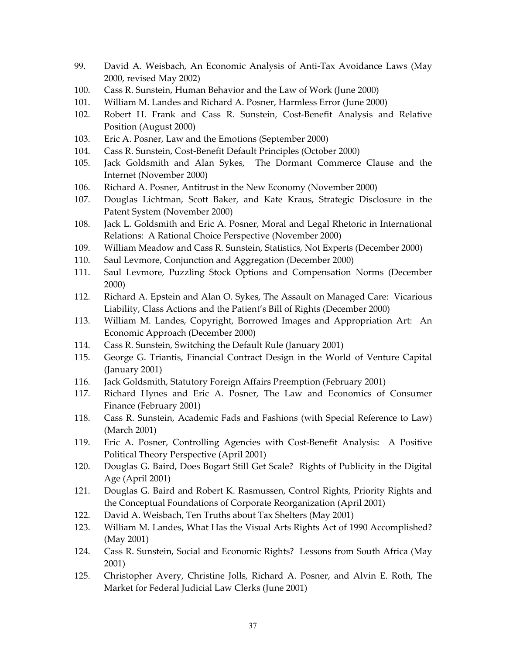- 99. David A. Weisbach, An Economic Analysis of Anti-Tax Avoidance Laws (May 2000, revised May 2002)
- 100. Cass R. Sunstein, Human Behavior and the Law of Work (June 2000)
- 101. William M. Landes and Richard A. Posner, Harmless Error (June 2000)
- 102. Robert H. Frank and Cass R. Sunstein, Cost-Benefit Analysis and Relative Position (August 2000)
- 103. Eric A. Posner, Law and the Emotions (September 2000)
- 104. Cass R. Sunstein, Cost-Benefit Default Principles (October 2000)
- 105. Jack Goldsmith and Alan Sykes, The Dormant Commerce Clause and the Internet (November 2000)
- 106. Richard A. Posner, Antitrust in the New Economy (November 2000)
- 107. Douglas Lichtman, Scott Baker, and Kate Kraus, Strategic Disclosure in the Patent System (November 2000)
- 108. Jack L. Goldsmith and Eric A. Posner, Moral and Legal Rhetoric in International Relations: A Rational Choice Perspective (November 2000)
- 109. William Meadow and Cass R. Sunstein, Statistics, Not Experts (December 2000)
- 110. Saul Levmore, Conjunction and Aggregation (December 2000)
- 111. Saul Levmore, Puzzling Stock Options and Compensation Norms (December 2000)
- 112. Richard A. Epstein and Alan O. Sykes, The Assault on Managed Care: Vicarious Liability, Class Actions and the Patient's Bill of Rights (December 2000)
- 113. William M. Landes, Copyright, Borrowed Images and Appropriation Art: An Economic Approach (December 2000)
- 114. Cass R. Sunstein, Switching the Default Rule (January 2001)
- 115. George G. Triantis, Financial Contract Design in the World of Venture Capital (January 2001)
- 116. Jack Goldsmith, Statutory Foreign Affairs Preemption (February 2001)
- 117. Richard Hynes and Eric A. Posner, The Law and Economics of Consumer Finance (February 2001)
- 118. Cass R. Sunstein, Academic Fads and Fashions (with Special Reference to Law) (March 2001)
- 119. Eric A. Posner, Controlling Agencies with Cost-Benefit Analysis: A Positive Political Theory Perspective (April 2001)
- 120. Douglas G. Baird, Does Bogart Still Get Scale? Rights of Publicity in the Digital Age (April 2001)
- 121. Douglas G. Baird and Robert K. Rasmussen, Control Rights, Priority Rights and the Conceptual Foundations of Corporate Reorganization (April 2001)
- 122. David A. Weisbach, Ten Truths about Tax Shelters (May 2001)
- 123. William M. Landes, What Has the Visual Arts Rights Act of 1990 Accomplished? (May 2001)
- 124. Cass R. Sunstein, Social and Economic Rights? Lessons from South Africa (May 2001)
- 125. Christopher Avery, Christine Jolls, Richard A. Posner, and Alvin E. Roth, The Market for Federal Judicial Law Clerks (June 2001)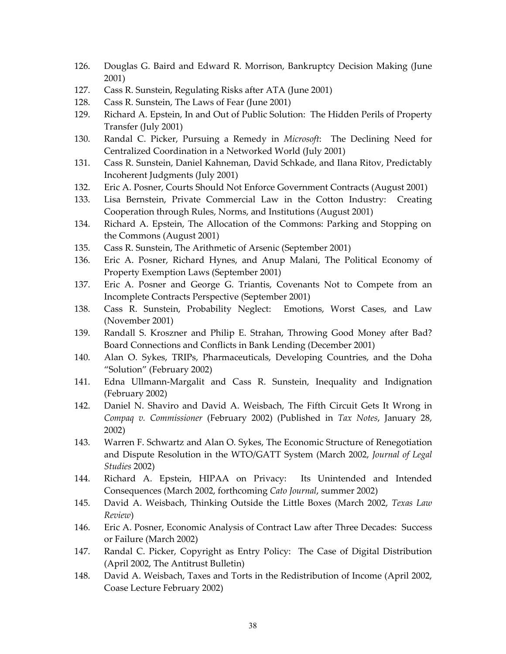- 126. Douglas G. Baird and Edward R. Morrison, Bankruptcy Decision Making (June 2001)
- 127. Cass R. Sunstein, Regulating Risks after ATA (June 2001)
- 128. Cass R. Sunstein, The Laws of Fear (June 2001)
- 129. Richard A. Epstein, In and Out of Public Solution: The Hidden Perils of Property Transfer (July 2001)
- 130. Randal C. Picker, Pursuing a Remedy in *Microsoft*: The Declining Need for Centralized Coordination in a Networked World (July 2001)
- 131. Cass R. Sunstein, Daniel Kahneman, David Schkade, and Ilana Ritov, Predictably Incoherent Judgments (July 2001)
- 132. Eric A. Posner, Courts Should Not Enforce Government Contracts (August 2001)
- 133. Lisa Bernstein, Private Commercial Law in the Cotton Industry: Creating Cooperation through Rules, Norms, and Institutions (August 2001)
- 134. Richard A. Epstein, The Allocation of the Commons: Parking and Stopping on the Commons (August 2001)
- 135. Cass R. Sunstein, The Arithmetic of Arsenic (September 2001)
- 136. Eric A. Posner, Richard Hynes, and Anup Malani, The Political Economy of Property Exemption Laws (September 2001)
- 137. Eric A. Posner and George G. Triantis, Covenants Not to Compete from an Incomplete Contracts Perspective (September 2001)
- 138. Cass R. Sunstein, Probability Neglect: Emotions, Worst Cases, and Law (November 2001)
- 139. Randall S. Kroszner and Philip E. Strahan, Throwing Good Money after Bad? Board Connections and Conflicts in Bank Lending (December 2001)
- 140. Alan O. Sykes, TRIPs, Pharmaceuticals, Developing Countries, and the Doha "Solution" (February 2002)
- 141. Edna Ullmann-Margalit and Cass R. Sunstein, Inequality and Indignation (February 2002)
- 142. Daniel N. Shaviro and David A. Weisbach, The Fifth Circuit Gets It Wrong in *Compaq v. Commissioner* (February 2002) (Published in *Tax Notes*, January 28, 2002)
- 143. Warren F. Schwartz and Alan O. Sykes, The Economic Structure of Renegotiation and Dispute Resolution in the WTO/GATT System (March 2002, *Journal of Legal Studies* 2002)
- 144. Richard A. Epstein, HIPAA on Privacy: Its Unintended and Intended Consequences (March 2002, forthcoming *Cato Journal*, summer 2002)
- 145. David A. Weisbach, Thinking Outside the Little Boxes (March 2002, *Texas Law Review*)
- 146. Eric A. Posner, Economic Analysis of Contract Law after Three Decades: Success or Failure (March 2002)
- 147. Randal C. Picker, Copyright as Entry Policy: The Case of Digital Distribution (April 2002, The Antitrust Bulletin)
- 148. David A. Weisbach, Taxes and Torts in the Redistribution of Income (April 2002, Coase Lecture February 2002)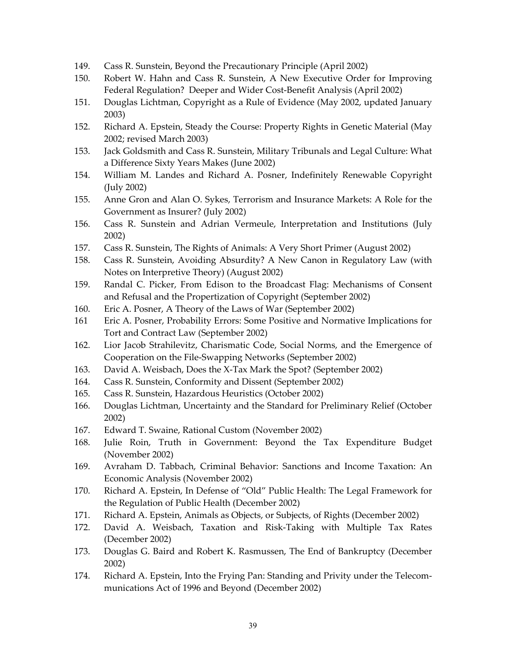- 149. Cass R. Sunstein, Beyond the Precautionary Principle (April 2002)
- 150. Robert W. Hahn and Cass R. Sunstein, A New Executive Order for Improving Federal Regulation? Deeper and Wider Cost-Benefit Analysis (April 2002)
- 151. Douglas Lichtman, Copyright as a Rule of Evidence (May 2002, updated January 2003)
- 152. Richard A. Epstein, Steady the Course: Property Rights in Genetic Material (May 2002; revised March 2003)
- 153. Jack Goldsmith and Cass R. Sunstein, Military Tribunals and Legal Culture: What a Difference Sixty Years Makes (June 2002)
- 154. William M. Landes and Richard A. Posner, Indefinitely Renewable Copyright (July 2002)
- 155. Anne Gron and Alan O. Sykes, Terrorism and Insurance Markets: A Role for the Government as Insurer? (July 2002)
- 156. Cass R. Sunstein and Adrian Vermeule, Interpretation and Institutions (July 2002)
- 157. Cass R. Sunstein, The Rights of Animals: A Very Short Primer (August 2002)
- 158. Cass R. Sunstein, Avoiding Absurdity? A New Canon in Regulatory Law (with Notes on Interpretive Theory) (August 2002)
- 159. Randal C. Picker, From Edison to the Broadcast Flag: Mechanisms of Consent and Refusal and the Propertization of Copyright (September 2002)
- 160. Eric A. Posner, A Theory of the Laws of War (September 2002)
- 161 Eric A. Posner, Probability Errors: Some Positive and Normative Implications for Tort and Contract Law (September 2002)
- 162. Lior Jacob Strahilevitz, Charismatic Code, Social Norms, and the Emergence of Cooperation on the File-Swapping Networks (September 2002)
- 163. David A. Weisbach, Does the X-Tax Mark the Spot? (September 2002)
- 164. Cass R. Sunstein, Conformity and Dissent (September 2002)
- 165. Cass R. Sunstein, Hazardous Heuristics (October 2002)
- 166. Douglas Lichtman, Uncertainty and the Standard for Preliminary Relief (October 2002)
- 167. Edward T. Swaine, Rational Custom (November 2002)
- 168. Julie Roin, Truth in Government: Beyond the Tax Expenditure Budget (November 2002)
- 169. Avraham D. Tabbach, Criminal Behavior: Sanctions and Income Taxation: An Economic Analysis (November 2002)
- 170. Richard A. Epstein, In Defense of "Old" Public Health: The Legal Framework for the Regulation of Public Health (December 2002)
- 171. Richard A. Epstein, Animals as Objects, or Subjects, of Rights (December 2002)
- 172. David A. Weisbach, Taxation and Risk-Taking with Multiple Tax Rates (December 2002)
- 173. Douglas G. Baird and Robert K. Rasmussen, The End of Bankruptcy (December 2002)
- 174. Richard A. Epstein, Into the Frying Pan: Standing and Privity under the Telecommunications Act of 1996 and Beyond (December 2002)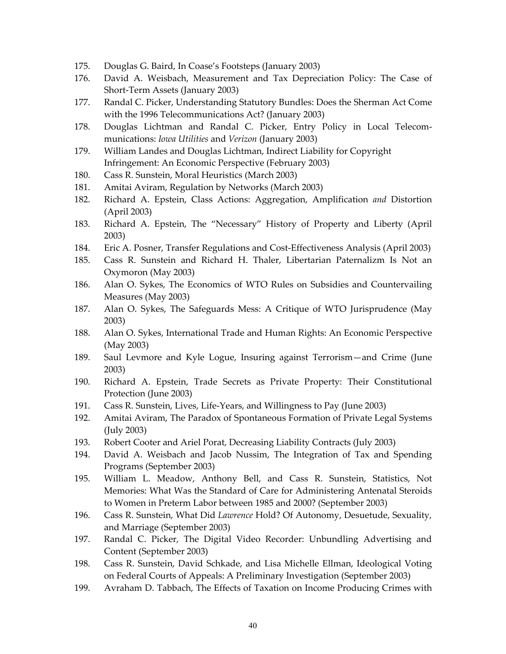- 175. Douglas G. Baird, In Coase's Footsteps (January 2003)
- 176. David A. Weisbach, Measurement and Tax Depreciation Policy: The Case of Short-Term Assets (January 2003)
- 177. Randal C. Picker, Understanding Statutory Bundles: Does the Sherman Act Come with the 1996 Telecommunications Act? (January 2003)
- 178. Douglas Lichtman and Randal C. Picker, Entry Policy in Local Telecommunications: *Iowa Utilities* and *Verizon* (January 2003)
- 179. William Landes and Douglas Lichtman, Indirect Liability for Copyright Infringement: An Economic Perspective (February 2003)
- 180. Cass R. Sunstein, Moral Heuristics (March 2003)
- 181. Amitai Aviram, Regulation by Networks (March 2003)
- 182. Richard A. Epstein, Class Actions: Aggregation, Amplification *and* Distortion (April 2003)
- 183. Richard A. Epstein, The "Necessary" History of Property and Liberty (April 2003)
- 184. Eric A. Posner, Transfer Regulations and Cost-Effectiveness Analysis (April 2003)
- 185. Cass R. Sunstein and Richard H. Thaler, Libertarian Paternalizm Is Not an Oxymoron (May 2003)
- 186. Alan O. Sykes, The Economics of WTO Rules on Subsidies and Countervailing Measures (May 2003)
- 187. Alan O. Sykes, The Safeguards Mess: A Critique of WTO Jurisprudence (May 2003)
- 188. Alan O. Sykes, International Trade and Human Rights: An Economic Perspective (May 2003)
- 189. Saul Levmore and Kyle Logue, Insuring against Terrorism—and Crime (June 2003)
- 190. Richard A. Epstein, Trade Secrets as Private Property: Their Constitutional Protection (June 2003)
- 191. Cass R. Sunstein, Lives, Life-Years, and Willingness to Pay (June 2003)
- 192. Amitai Aviram, The Paradox of Spontaneous Formation of Private Legal Systems (July 2003)
- 193. Robert Cooter and Ariel Porat, Decreasing Liability Contracts (July 2003)
- 194. David A. Weisbach and Jacob Nussim, The Integration of Tax and Spending Programs (September 2003)
- 195. William L. Meadow, Anthony Bell, and Cass R. Sunstein, Statistics, Not Memories: What Was the Standard of Care for Administering Antenatal Steroids to Women in Preterm Labor between 1985 and 2000? (September 2003)
- 196. Cass R. Sunstein, What Did *Lawrence* Hold? Of Autonomy, Desuetude, Sexuality, and Marriage (September 2003)
- 197. Randal C. Picker, The Digital Video Recorder: Unbundling Advertising and Content (September 2003)
- 198. Cass R. Sunstein, David Schkade, and Lisa Michelle Ellman, Ideological Voting on Federal Courts of Appeals: A Preliminary Investigation (September 2003)
- 199. Avraham D. Tabbach, The Effects of Taxation on Income Producing Crimes with